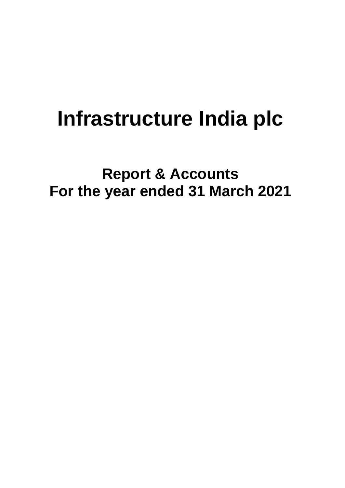# **Infrastructure India plc**

**Report & Accounts For the year ended 31 March 2021**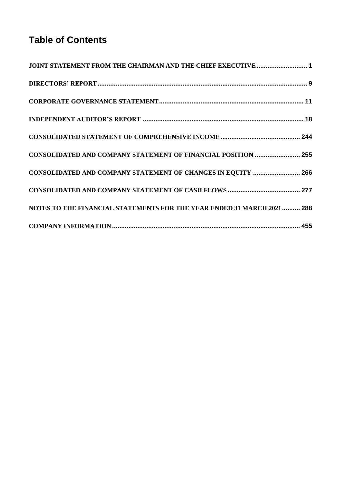## **Table of Contents**

| JOINT STATEMENT FROM THE CHAIRMAN AND THE CHIEF EXECUTIVE  1           |
|------------------------------------------------------------------------|
|                                                                        |
|                                                                        |
|                                                                        |
|                                                                        |
| <b>CONSOLIDATED AND COMPANY STATEMENT OF FINANCIAL POSITION  255</b>   |
| <b>CONSOLIDATED AND COMPANY STATEMENT OF CHANGES IN EQUITY  266</b>    |
|                                                                        |
| NOTES TO THE FINANCIAL STATEMENTS FOR THE YEAR ENDED 31 MARCH 2021 288 |
|                                                                        |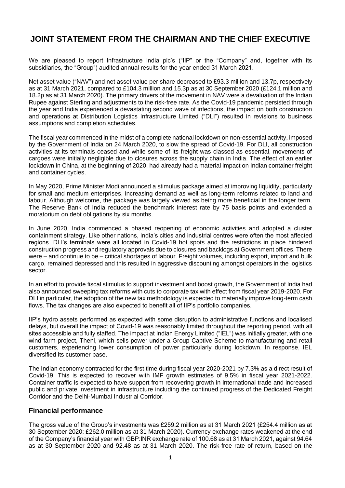## <span id="page-2-0"></span>**JOINT STATEMENT FROM THE CHAIRMAN AND THE CHIEF EXECUTIVE**

We are pleased to report Infrastructure India plc's ("IIP" or the "Company" and, together with its subsidiaries, the "Group") audited annual results for the year ended 31 March 2021.

Net asset value ("NAV") and net asset value per share decreased to £93.3 million and 13.7p, respectively as at 31 March 2021, compared to £104.3 million and 15.3p as at 30 September 2020 (£124.1 million and 18.2p as at 31 March 2020). The primary drivers of the movement in NAV were a devaluation of the Indian Rupee against Sterling and adjustments to the risk-free rate. As the Covid-19 pandemic persisted through the year and India experienced a devastating second wave of infections, the impact on both construction and operations at Distribution Logistics Infrastructure Limited ("DLI") resulted in revisions to business assumptions and completion schedules.

The fiscal year commenced in the midst of a complete national lockdown on non-essential activity, imposed by the Government of India on 24 March 2020, to slow the spread of Covid-19. For DLI, all construction activities at its terminals ceased and while some of its freight was classed as essential, movements of cargoes were initially negligible due to closures across the supply chain in India. The effect of an earlier lockdown in China, at the beginning of 2020, had already had a material impact on Indian container freight and container cycles.

In May 2020, Prime Minister Modi announced a stimulus package aimed at improving liquidity, particularly for small and medium enterprises, increasing demand as well as long-term reforms related to land and labour. Although welcome, the package was largely viewed as being more beneficial in the longer term. The Reserve Bank of India reduced the benchmark interest rate by 75 basis points and extended a moratorium on debt obligations by six months.

In June 2020, India commenced a phased reopening of economic activities and adopted a cluster containment strategy. Like other nations, India's cities and industrial centres were often the most affected regions. DLI's terminals were all located in Covid-19 hot spots and the restrictions in place hindered construction progress and regulatory approvals due to closures and backlogs at Government offices. There were – and continue to be – critical shortages of labour. Freight volumes, including export, import and bulk cargo, remained depressed and this resulted in aggressive discounting amongst operators in the logistics sector.

In an effort to provide fiscal stimulus to support investment and boost growth, the Government of India had also announced sweeping tax reforms with cuts to corporate tax with effect from fiscal year 2019-2020. For DLI in particular, the adoption of the new tax methodology is expected to materially improve long-term cash flows. The tax changes are also expected to benefit all of IIP's portfolio companies.

IIP's hydro assets performed as expected with some disruption to administrative functions and localised delays, but overall the impact of Covid-19 was reasonably limited throughout the reporting period, with all sites accessible and fully staffed. The impact at Indian Energy Limited ("IEL") was initially greater, with one wind farm project, Theni, which sells power under a Group Captive Scheme to manufacturing and retail customers, experiencing lower consumption of power particularly during lockdown. In response, IEL diversified its customer base.

The Indian economy contracted for the first time during fiscal year 2020-2021 by 7.3% as a direct result of Covid-19. This is expected to recover with IMF growth estimates of 9.5% in fiscal year 2021-2022. Container traffic is expected to have support from recovering growth in international trade and increased public and private investment in infrastructure including the continued progress of the Dedicated Freight Corridor and the Delhi-Mumbai Industrial Corridor.

#### **Financial performance**

The gross value of the Group's investments was £259.2 million as at 31 March 2021 (£254.4 million as at 30 September 2020; £262.0 million as at 31 March 2020). Currency exchange rates weakened at the end of the Company's financial year with GBP:INR exchange rate of 100.68 as at 31 March 2021, against 94.64 as at 30 September 2020 and 92.48 as at 31 March 2020. The risk-free rate of return, based on the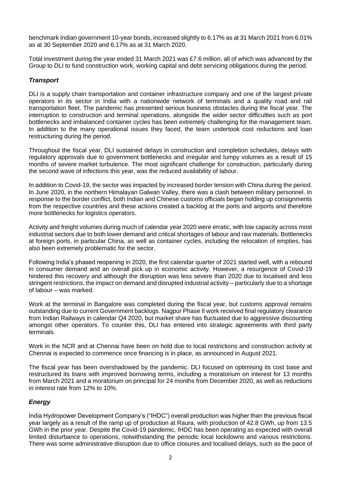benchmark Indian government 10-year bonds, increased slightly to 6.17% as at 31 March 2021 from 6.01% as at 30 September 2020 and 6.17% as at 31 March 2020.

Total investment during the year ended 31 March 2021 was £7.6 million, all of which was advanced by the Group to DLI to fund construction work, working capital and debt servicing obligations during the period.

#### *Transport*

DLI is a supply chain transportation and container infrastructure company and one of the largest private operators in its sector in India with a nationwide network of terminals and a quality road and rail transportation fleet. The pandemic has presented serious business obstacles during the fiscal year. The interruption to construction and terminal operations, alongside the wider sector difficulties such as port bottlenecks and imbalanced container cycles has been extremely challenging for the management team. In addition to the many operational issues they faced, the team undertook cost reductions and loan restructuring during the period.

Throughout the fiscal year, DLI sustained delays in construction and completion schedules, delays with regulatory approvals due to government bottlenecks and irregular and lumpy volumes as a result of 15 months of severe market turbulence. The most significant challenge for construction, particularly during the second wave of infections this year, was the reduced availability of labour.

In addition to Covid-19, the sector was impacted by increased border tension with China during the period. In June 2020, in the northern Himalayan Galwan Valley, there was a clash between military personnel. In response to the border conflict, both Indian and Chinese customs officials began holding up consignments from the respective countries and these actions created a backlog at the ports and airports and therefore more bottlenecks for logistics operators.

Activity and freight volumes during much of calendar year 2020 were erratic, with low capacity across most industrial sectors due to both lower demand and critical shortages of labour and raw materials. Bottlenecks at foreign ports, in particular China, as well as container cycles, including the relocation of empties, has also been extremely problematic for the sector.

Following India's phased reopening in 2020, the first calendar quarter of 2021 started well, with a rebound in consumer demand and an overall pick up in economic activity. However, a resurgence of Covid-19 hindered this recovery and although the disruption was less severe than 2020 due to localised and less stringent restrictions, the impact on demand and disrupted industrial activity – particularly due to a shortage of labour – was marked.

Work at the terminal in Bangalore was completed during the fiscal year, but customs approval remains outstanding due to current Government backlogs. Nagpur Phase II work received final regulatory clearance from Indian Railways in calendar Q4 2020, but market share has fluctuated due to aggressive discounting amongst other operators. To counter this, DLI has entered into strategic agreements with third party terminals.

Work in the NCR and at Chennai have been on hold due to local restrictions and construction activity at Chennai is expected to commence once financing is in place, as announced in August 2021.

The fiscal year has been overshadowed by the pandemic. DLI focused on optimising its cost base and restructured its loans with improved borrowing terms, including a moratorium on interest for 13 months from March 2021 and a moratorium on principal for 24 months from December 2020, as well as reductions in interest rate from 12% to 10%.

#### *Energy*

India Hydropower Development Company's ("IHDC") overall production was higher than the previous fiscal year largely as a result of the ramp up of production at Raura, with production of 42.8 GWh, up from 13.5 GWh in the prior year. Despite the Covid-19 pandemic, IHDC has been operating as expected with overall limited disturbance to operations, notwithstanding the periodic local lockdowns and various restrictions. There was some administrative disruption due to office closures and localised delays, such as the pace of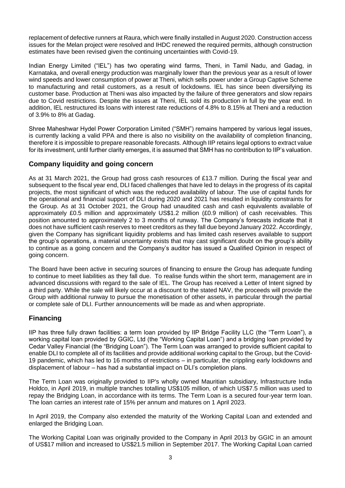replacement of defective runners at Raura, which were finally installed in August 2020. Construction access issues for the Melan project were resolved and IHDC renewed the required permits, although construction estimates have been revised given the continuing uncertainties with Covid-19.

Indian Energy Limited ("IEL") has two operating wind farms, Theni, in Tamil Nadu, and Gadag, in Karnataka, and overall energy production was marginally lower than the previous year as a result of lower wind speeds and lower consumption of power at Theni, which sells power under a Group Captive Scheme to manufacturing and retail customers, as a result of lockdowns. IEL has since been diversifying its customer base. Production at Theni was also impacted by the failure of three generators and slow repairs due to Covid restrictions. Despite the issues at Theni, IEL sold its production in full by the year end. In addition, IEL restructured its loans with interest rate reductions of 4.8% to 8.15% at Theni and a reduction of 3.9% to 8% at Gadag.

Shree Maheshwar Hydel Power Corporation Limited ("SMH") remains hampered by various legal issues, is currently lacking a valid PPA and there is also no visibility on the availability of completion financing, therefore it is impossible to prepare reasonable forecasts. Although IIP retains legal options to extract value for its investment, until further clarity emerges, it is assumed that SMH has no contribution to IIP's valuation.

#### **Company liquidity and going concern**

As at 31 March 2021, the Group had gross cash resources of £13.7 million. During the fiscal year and subsequent to the fiscal year end, DLI faced challenges that have led to delays in the progress of its capital projects, the most significant of which was the reduced availability of labour. The use of capital funds for the operational and financial support of DLI during 2020 and 2021 has resulted in liquidity constraints for the Group. As at 31 October 2021, the Group had unaudited cash and cash equivalents available of approximately £0.5 million and approximately US\$1.2 million (£0.9 million) of cash receivables. This position amounted to approximately 2 to 3 months of runway. The Company's forecasts indicate that it does not have sufficient cash reserves to meet creditors as they fall due beyond January 2022. Accordingly, given the Company has significant liquidity problems and has limited cash reserves available to support the group's operations, a material uncertainty exists that may cast significant doubt on the group's ability to continue as a going concern and the Company's auditor has issued a Qualified Opinion in respect of going concern.

The Board have been active in securing sources of financing to ensure the Group has adequate funding to continue to meet liabilities as they fall due. To realise funds within the short term, management are in advanced discussions with regard to the sale of IEL. The Group has received a Letter of Intent signed by a third party. While the sale will likely occur at a discount to the stated NAV, the proceeds will provide the Group with additional runway to pursue the monetisation of other assets, in particular through the partial or complete sale of DLI. Further announcements will be made as and when appropriate.

#### **Financing**

IIP has three fully drawn facilities: a term loan provided by IIP Bridge Facility LLC (the "Term Loan"), a working capital loan provided by GGIC, Ltd (the "Working Capital Loan") and a bridging loan provided by Cedar Valley Financial (the "Bridging Loan"). The Term Loan was arranged to provide sufficient capital to enable DLI to complete all of its facilities and provide additional working capital to the Group, but the Covid-19 pandemic, which has led to 16 months of restrictions – in particular, the crippling early lockdowns and displacement of labour – has had a substantial impact on DLI's completion plans.

The Term Loan was originally provided to IIP's wholly owned Mauritian subsidiary, Infrastructure India Holdco, in April 2019, in multiple tranches totalling US\$105 million, of which US\$7.5 million was used to repay the Bridging Loan, in accordance with its terms. The Term Loan is a secured four-year term loan. The loan carries an interest rate of 15% per annum and matures on 1 April 2023.

In April 2019, the Company also extended the maturity of the Working Capital Loan and extended and enlarged the Bridging Loan.

The Working Capital Loan was originally provided to the Company in April 2013 by GGIC in an amount of US\$17 million and increased to US\$21.5 million in September 2017. The Working Capital Loan carried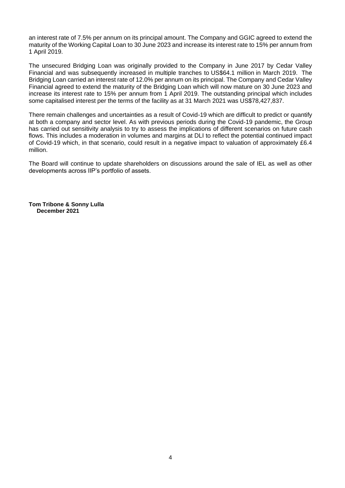an interest rate of 7.5% per annum on its principal amount. The Company and GGIC agreed to extend the maturity of the Working Capital Loan to 30 June 2023 and increase its interest rate to 15% per annum from 1 April 2019.

The unsecured Bridging Loan was originally provided to the Company in June 2017 by Cedar Valley Financial and was subsequently increased in multiple tranches to US\$64.1 million in March 2019. The Bridging Loan carried an interest rate of 12.0% per annum on its principal. The Company and Cedar Valley Financial agreed to extend the maturity of the Bridging Loan which will now mature on 30 June 2023 and increase its interest rate to 15% per annum from 1 April 2019. The outstanding principal which includes some capitalised interest per the terms of the facility as at 31 March 2021 was US\$78,427,837.

There remain challenges and uncertainties as a result of Covid-19 which are difficult to predict or quantify at both a company and sector level. As with previous periods during the Covid-19 pandemic, the Group has carried out sensitivity analysis to try to assess the implications of different scenarios on future cash flows. This includes a moderation in volumes and margins at DLI to reflect the potential continued impact of Covid-19 which, in that scenario, could result in a negative impact to valuation of approximately £6.4 million.

The Board will continue to update shareholders on discussions around the sale of IEL as well as other developments across IIP's portfolio of assets.

**Tom Tribone & Sonny Lulla December 2021**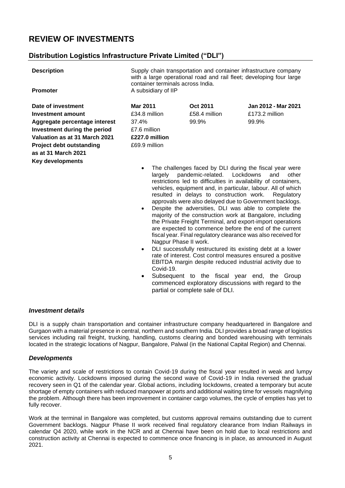## **REVIEW OF INVESTMENTS**

#### **Distribution Logistics Infrastructure Private Limited ("DLI")**

**Date of investment Investment amount Aggregate percentage interest Investment during the period Valuation as at 31 March 2021. Project debt outstanding as at 31 March 2021 Key developments**

**Description** Supply chain transportation and container infrastructure company with a large operational road and rail fleet; developing four large container terminals across India. **Promoter** A subsidiary of IIP

| Mar 2011       | Oct 2011      | Jan 2012 - Mar 2021 |
|----------------|---------------|---------------------|
| £34.8 million  | £58.4 million | £173.2 million      |
| 37.4%          | 99.9%         | 99.9%               |
| £7.6 million   |               |                     |
| £227.0 million |               |                     |
| £69.9 million  |               |                     |

- The challenges faced by DLI during the fiscal year were largely pandemic-related. Lockdowns and other restrictions led to difficulties in availability of containers, vehicles, equipment and, in particular, labour. All of which resulted in delays to construction work. Regulatory approvals were also delayed due to Government backlogs.
- Despite the adversities, DLI was able to complete the majority of the construction work at Bangalore, including the Private Freight Terminal, and export-import operations are expected to commence before the end of the current fiscal year. Final regulatory clearance was also received for Nagpur Phase II work.
- DLI successfully restructured its existing debt at a lower rate of interest. Cost control measures ensured a positive EBITDA margin despite reduced industrial activity due to Covid-19.
- Subsequent to the fiscal year end, the Group commenced exploratory discussions with regard to the partial or complete sale of DLI.

#### *Investment details*

DLI is a supply chain transportation and container infrastructure company headquartered in Bangalore and Gurgaon with a material presence in central, northern and southern India. DLI provides a broad range of logistics services including rail freight, trucking, handling, customs clearing and bonded warehousing with terminals located in the strategic locations of Nagpur, Bangalore, Palwal (in the National Capital Region) and Chennai.

#### *Developments*

The variety and scale of restrictions to contain Covid-19 during the fiscal year resulted in weak and lumpy economic activity. Lockdowns imposed during the second wave of Covid-19 in India reversed the gradual recovery seen in Q1 of the calendar year. Global actions, including lockdowns, created a temporary but acute shortage of empty containers with reduced manpower at ports and additional waiting time for vessels magnifying the problem. Although there has been improvement in container cargo volumes, the cycle of empties has yet to fully recover.

Work at the terminal in Bangalore was completed, but customs approval remains outstanding due to current Government backlogs. Nagpur Phase II work received final regulatory clearance from Indian Railways in calendar Q4 2020, while work in the NCR and at Chennai have been on hold due to local restrictions and construction activity at Chennai is expected to commence once financing is in place, as announced in August 2021.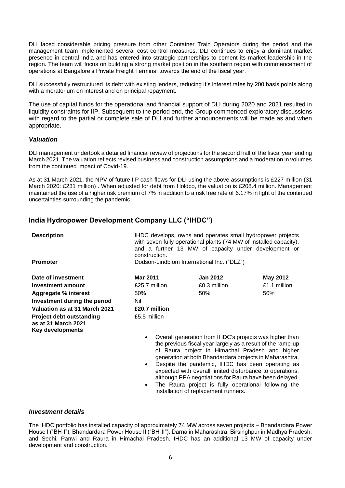DLI faced considerable pricing pressure from other Container Train Operators during the period and the management team implemented several cost control measures. DLI continues to enjoy a dominant market presence in central India and has entered into strategic partnerships to cement its market leadership in the region. The team will focus on building a strong market position in the southern region with commencement of operations at Bangalore's Private Freight Terminal towards the end of the fiscal year.

DLI successfully restructured its debt with existing lenders, reducing it's interest rates by 200 basis points along with a moratorium on interest and on principal repayment.

The use of capital funds for the operational and financial support of DLI during 2020 and 2021 resulted in liquidity constraints for IIP. Subsequent to the period end, the Group commenced exploratory discussions with regard to the partial or complete sale of DLI and further announcements will be made as and when appropriate.

#### *Valuation*

DLI management undertook a detailed financial review of projections for the second half of the fiscal year ending March 2021. The valuation reflects revised business and construction assumptions and a moderation in volumes from the continued impact of Covid-19.

As at 31 March 2021, the NPV of future IIP cash flows for DLI using the above assumptions is £227 million (31 March 2020: £231 million) . When adjusted for debt from Holdco, the valuation is £208.4 million. Management maintained the use of a higher risk premium of 7% in addition to a risk free rate of 6.17% in light of the continued uncertainties surrounding the pandemic.

#### **India Hydropower Development Company LLC ("IHDC")**

| <b>Description</b><br><b>Promoter</b>                                             | IHDC develops, owns and operates small hydropower projects<br>with seven fully operational plants (74 MW of installed capacity),<br>and a further 13 MW of capacity under development or<br>construction.<br>Dodson-Lindblom International Inc. ("DLZ")                                                                                                                                                                                                                                                                                               |                 |              |  |  |
|-----------------------------------------------------------------------------------|-------------------------------------------------------------------------------------------------------------------------------------------------------------------------------------------------------------------------------------------------------------------------------------------------------------------------------------------------------------------------------------------------------------------------------------------------------------------------------------------------------------------------------------------------------|-----------------|--------------|--|--|
|                                                                                   |                                                                                                                                                                                                                                                                                                                                                                                                                                                                                                                                                       |                 |              |  |  |
| Date of investment                                                                | <b>Mar 2011</b>                                                                                                                                                                                                                                                                                                                                                                                                                                                                                                                                       | <b>Jan 2012</b> | May 2012     |  |  |
| <b>Investment amount</b>                                                          | £25.7 million                                                                                                                                                                                                                                                                                                                                                                                                                                                                                                                                         | £0.3 million    | £1.1 million |  |  |
| Aggregate % interest                                                              | 50%                                                                                                                                                                                                                                                                                                                                                                                                                                                                                                                                                   | 50%             | 50%          |  |  |
| Investment during the period                                                      | Nil                                                                                                                                                                                                                                                                                                                                                                                                                                                                                                                                                   |                 |              |  |  |
| Valuation as at 31 March 2021                                                     | £20.7 million                                                                                                                                                                                                                                                                                                                                                                                                                                                                                                                                         |                 |              |  |  |
| <b>Project debt outstanding</b><br>as at 31 March 2021<br><b>Key developments</b> | £5.5 million                                                                                                                                                                                                                                                                                                                                                                                                                                                                                                                                          |                 |              |  |  |
|                                                                                   | Overall generation from IHDC's projects was higher than<br>$\bullet$<br>the previous fiscal year largely as a result of the ramp-up<br>of Raura project in Himachal Pradesh and higher<br>generation at both Bhandardara projects in Maharashtra.<br>Despite the pandemic, IHDC has been operating as<br>$\bullet$<br>expected with overall limited disturbance to operations,<br>although PPA negotiations for Raura have been delayed.<br>The Raura project is fully operational following the<br>$\bullet$<br>installation of replacement runners. |                 |              |  |  |

#### *Investment details*

The IHDC portfolio has installed capacity of approximately 74 MW across seven projects – Bhandardara Power House I ("BH-I"), Bhandardara Power House II ("BH-II"), Darna in Maharashtra; Birsinghpur in Madhya Pradesh; and Sechi, Panwi and Raura in Himachal Pradesh. IHDC has an additional 13 MW of capacity under development and construction.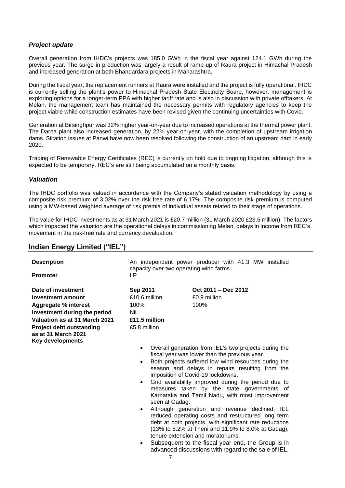#### *Project update*

Overall generation from IHDC's projects was 185.0 GWh in the fiscal year against 124.1 GWh during the previous year. The surge in production was largely a result of ramp-up of Raura project in Himachal Pradesh and increased generation at both Bhandardara projects in Maharashtra.

During the fiscal year, the replacement runners at Raura were installed and the project is fully operational. IHDC is currently selling the plant's power to Himachal Pradesh State Electricity Board, however, management is exploring options for a longer-term PPA with higher tariff rate and is also in discussion with private offtakers. At Melan, the management team has maintained the necessary permits with regulatory agencies to keep the project viable while construction estimates have been revised given the continuing uncertainties with Covid.

Generation at Birsinghpur was 32% higher year-on-year due to increased operations at the thermal power plant. The Darna plant also increased generation, by 22% year-on-year, with the completion of upstream irrigation dams. Siltation issues at Panwi have now been resolved following the construction of an upstream dam in early 2020.

Trading of Renewable Energy Certificates (REC) is currently on hold due to ongoing litigation, although this is expected to be temporary. REC's are still being accumulated on a monthly basis.

#### *Valuation*

The IHDC portfolio was valued in accordance with the Company's stated valuation methodology by using a composite risk premium of 3.02% over the risk free rate of 6.17%. The composite risk premium is computed using a MW-based weighted average of risk premia of individual assets related to their stage of operations.

The value for IHDC investments as at 31 March 2021 is £20.7 million (31 March 2020 £23.5 million). The factors which impacted the valuation are the operational delays in commissioning Melan, delays in income from REC's, movement in the risk-free rate and currency devaluation.

#### **Indian Energy Limited ("IEL")**

**Promoter** IIP

**Date of investment Sep 2011 Oct 2011 – Dec 2012 Investment amount E10.6 million E10.6 million** Aggregate % interest 100% **Investment during the period Nill Valuation as at 31 March 2021 £11.5 million Project debt outstanding as at 31 March 2021 Key developments**

**Description An independent power producer with 41.3 MW installed** capacity over two operating wind farms.

£5.8 million

• Overall generation from IEL's two projects during the fiscal year was lower than the previous year.

- Both projects suffered low wind resources during the season and delays in repairs resulting from the imposition of Covid-19 lockdowns.
- Grid availability improved during the period due to measures taken by the state governments of Karnataka and Tamil Nadu, with most improvement seen at Gadag.
- Although generation and revenue declined, IEL reduced operating costs and restructured long term debt at both projects, with significant rate reductions (13% to 8.2% at Theni and 11.9% to 8.0% at Gadag), tenure extension and moratoriums.
- Subsequent to the fiscal year end, the Group is in advanced discussions with regard to the sale of IEL.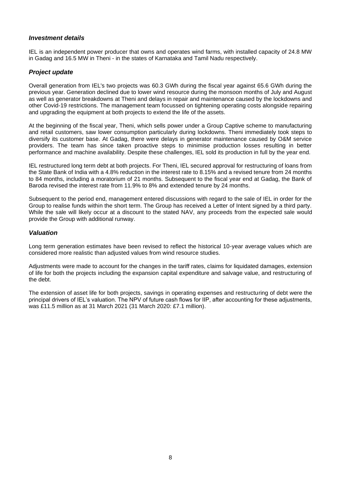#### *Investment details*

IEL is an independent power producer that owns and operates wind farms, with installed capacity of 24.8 MW in Gadag and 16.5 MW in Theni - in the states of Karnataka and Tamil Nadu respectively.

#### *Project update*

Overall generation from IEL's two projects was 60.3 GWh during the fiscal year against 65.6 GWh during the previous year. Generation declined due to lower wind resource during the monsoon months of July and August as well as generator breakdowns at Theni and delays in repair and maintenance caused by the lockdowns and other Covid-19 restrictions. The management team focussed on tightening operating costs alongside repairing and upgrading the equipment at both projects to extend the life of the assets.

At the beginning of the fiscal year, Theni, which sells power under a Group Captive scheme to manufacturing and retail customers, saw lower consumption particularly during lockdowns. Theni immediately took steps to diversify its customer base. At Gadag, there were delays in generator maintenance caused by O&M service providers. The team has since taken proactive steps to minimise production losses resulting in better performance and machine availability. Despite these challenges, IEL sold its production in full by the year end.

IEL restructured long term debt at both projects. For Theni, IEL secured approval for restructuring of loans from the State Bank of India with a 4.8% reduction in the interest rate to 8.15% and a revised tenure from 24 months to 84 months, including a moratorium of 21 months. Subsequent to the fiscal year end at Gadag, the Bank of Baroda revised the interest rate from 11.9% to 8% and extended tenure by 24 months.

Subsequent to the period end, management entered discussions with regard to the sale of IEL in order for the Group to realise funds within the short term. The Group has received a Letter of Intent signed by a third party. While the sale will likely occur at a discount to the stated NAV, any proceeds from the expected sale would provide the Group with additional runway.

#### *Valuation*

Long term generation estimates have been revised to reflect the historical 10-year average values which are considered more realistic than adjusted values from wind resource studies.

Adjustments were made to account for the changes in the tariff rates, claims for liquidated damages, extension of life for both the projects including the expansion capital expenditure and salvage value, and restructuring of the debt.

The extension of asset life for both projects, savings in operating expenses and restructuring of debt were the principal drivers of IEL's valuation. The NPV of future cash flows for IIP, after accounting for these adjustments, was £11.5 million as at 31 March 2021 (31 March 2020: £7.1 million).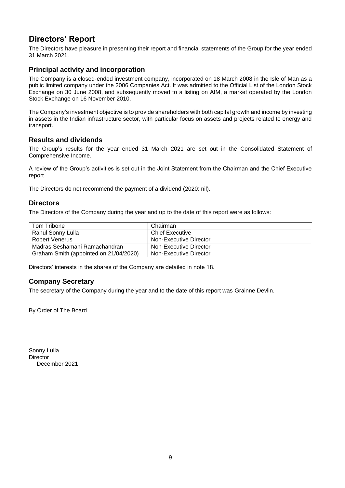## <span id="page-10-0"></span>**Directors' Report**

The Directors have pleasure in presenting their report and financial statements of the Group for the year ended 31 March 2021.

#### **Principal activity and incorporation**

The Company is a closed-ended investment company, incorporated on 18 March 2008 in the Isle of Man as a public limited company under the 2006 Companies Act. It was admitted to the Official List of the London Stock Exchange on 30 June 2008, and subsequently moved to a listing on AIM, a market operated by the London Stock Exchange on 16 November 2010.

The Company's investment objective is to provide shareholders with both capital growth and income by investing in assets in the Indian infrastructure sector, with particular focus on assets and projects related to energy and transport.

#### **Results and dividends**

The Group's results for the year ended 31 March 2021 are set out in the Consolidated Statement of Comprehensive Income.

A review of the Group's activities is set out in the Joint Statement from the Chairman and the Chief Executive report.

The Directors do not recommend the payment of a dividend (2020: nil).

#### **Directors**

The Directors of the Company during the year and up to the date of this report were as follows:

| Tom Tribone                            | Chairman               |
|----------------------------------------|------------------------|
| Rahul Sonny Lulla                      | <b>Chief Executive</b> |
| Robert Venerus                         | Non-Executive Director |
| Madras Seshamani Ramachandran          | Non-Executive Director |
| Graham Smith (appointed on 21/04/2020) | Non-Executive Director |

Directors' interests in the shares of the Company are detailed in note 18.

#### **Company Secretary**

The secretary of the Company during the year and to the date of this report was Grainne Devlin.

By Order of The Board

Sonny Lulla **Director** December 2021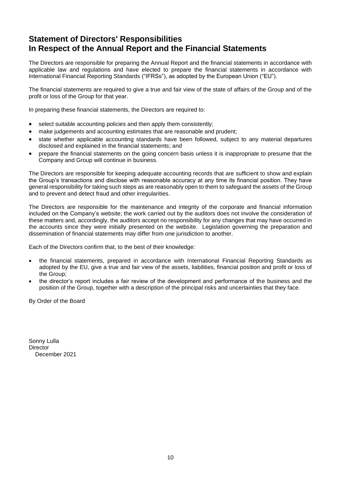## **Statement of Directors' Responsibilities In Respect of the Annual Report and the Financial Statements**

The Directors are responsible for preparing the Annual Report and the financial statements in accordance with applicable law and regulations and have elected to prepare the financial statements in accordance with International Financial Reporting Standards ("IFRSs"), as adopted by the European Union ("EU").

The financial statements are required to give a true and fair view of the state of affairs of the Group and of the profit or loss of the Group for that year.

In preparing these financial statements, the Directors are required to:

- select suitable accounting policies and then apply them consistently;
- make judgements and accounting estimates that are reasonable and prudent;
- state whether applicable accounting standards have been followed, subject to any material departures disclosed and explained in the financial statements; and
- prepare the financial statements on the going concern basis unless it is inappropriate to presume that the Company and Group will continue in business.

The Directors are responsible for keeping adequate accounting records that are sufficient to show and explain the Group's transactions and disclose with reasonable accuracy at any time its financial position. They have general responsibility for taking such steps as are reasonably open to them to safeguard the assets of the Group and to prevent and detect fraud and other irregularities.

The Directors are responsible for the maintenance and integrity of the corporate and financial information included on the Company's website; the work carried out by the auditors does not involve the consideration of these matters and, accordingly, the auditors accept no responsibility for any changes that may have occurred in the accounts since they were initially presented on the website. Legislation governing the preparation and dissemination of financial statements may differ from one jurisdiction to another.

Each of the Directors confirm that, to the best of their knowledge:

- the financial statements, prepared in accordance with International Financial Reporting Standards as adopted by the EU, give a true and fair view of the assets, liabilities, financial position and profit or loss of the Group;
- the director's report includes a fair review of the development and performance of the business and the position of the Group, together with a description of the principal risks and uncertainties that they face.

By Order of the Board

Sonny Lulla **Director** December 2021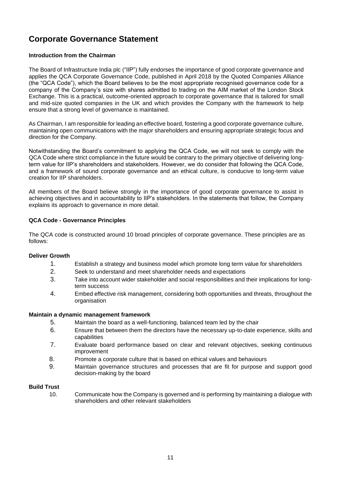## <span id="page-12-0"></span>**Corporate Governance Statement**

#### **Introduction from the Chairman**

The Board of Infrastructure India plc ("IIP") fully endorses the importance of good corporate governance and applies the QCA Corporate Governance Code, published in April 2018 by the Quoted Companies Alliance (the "QCA Code"), which the Board believes to be the most appropriate recognised governance code for a company of the Company's size with shares admitted to trading on the AIM market of the London Stock Exchange. This is a practical, outcome-oriented approach to corporate governance that is tailored for small and mid-size quoted companies in the UK and which provides the Company with the framework to help ensure that a strong level of governance is maintained.

As Chairman, I am responsible for leading an effective board, fostering a good corporate governance culture, maintaining open communications with the major shareholders and ensuring appropriate strategic focus and direction for the Company.

Notwithstanding the Board's commitment to applying the QCA Code, we will not seek to comply with the QCA Code where strict compliance in the future would be contrary to the primary objective of delivering longterm value for IIP's shareholders and stakeholders. However, we do consider that following the QCA Code, and a framework of sound corporate governance and an ethical culture, is conducive to long-term value creation for IIP shareholders.

All members of the Board believe strongly in the importance of good corporate governance to assist in achieving objectives and in accountability to IIP's stakeholders. In the statements that follow, the Company explains its approach to governance in more detail.

#### **QCA Code - Governance Principles**

The QCA code is constructed around 10 broad principles of corporate governance. These principles are as follows:

#### **Deliver Growth**

- 1. Establish a strategy and business model which promote long term value for shareholders
- 2. Seek to understand and meet shareholder needs and expectations
- 3. Take into account wider stakeholder and social responsibilities and their implications for longterm success
- 4. Embed effective risk management, considering both opportunities and threats, throughout the organisation

#### **Maintain a dynamic management framework**

- 5. Maintain the board as a well-functioning, balanced team led by the chair
- 6. Ensure that between them the directors have the necessary up-to-date experience, skills and capabilities
- 7. Evaluate board performance based on clear and relevant objectives, seeking continuous improvement
- 8. Promote a corporate culture that is based on ethical values and behaviours
- 9. Maintain governance structures and processes that are fit for purpose and support good decision-making by the board

#### **Build Trust**

10. Communicate how the Company is governed and is performing by maintaining a dialogue with shareholders and other relevant stakeholders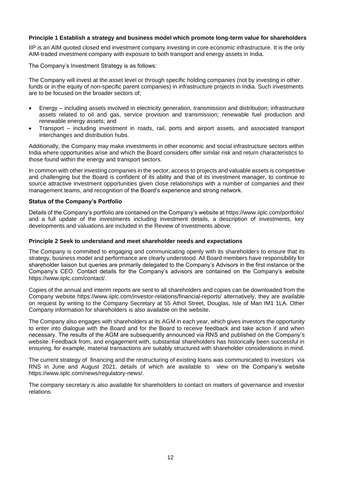#### **Principle 1 Establish a strategy and business model which promote long-term value for shareholders**

IIP is an AIM quoted closed end investment company investing in core economic infrastructure. It is the only AIM-traded investment company with exposure to both transport and energy assets in India.

The Company's Investment Strategy is as follows:

The Company will invest at the asset level or through specific holding companies (not by investing in other funds or in the equity of non-specific parent companies) in infrastructure projects in India. Such investments are to be focused on the broader sectors of;

- Energy including assets involved in electricity generation, transmission and distribution; infrastructure assets related to oil and gas, service provision and transmission; renewable fuel production and renewable energy assets; and
- Transport including investment in roads, rail, ports and airport assets, and associated transport interchanges and distribution hubs.

Additionally, the Company may make investments in other economic and social infrastructure sectors within India where opportunities arise and which the Board considers offer similar risk and return characteristics to those found within the energy and transport sectors.

In common with other investing companies in the sector, access to projects and valuable assets is competitive and challenging but the Board is confident of its ability and that of its investment manager, to continue to source attractive investment opportunities given close relationships with a number of companies and their management teams, and recognition of the Board's experience and strong network.

#### **Status of the Company's Portfolio**

Details of the Company's portfolio are contained on the Company's website at<https://www.iiplc.com/portfolio>[/](https://www.iiplc.com/portfolio/current-portfolio/) [an](https://www.iiplc.com/portfolio/current-portfolio/)d a full update of the investments including investment details, a description of investments, key developments and valuations are included in the Review of Investments above.

#### **Principle 2 Seek to understand and meet shareholder needs and expectations**

The Company is committed to engaging and communicating openly with its shareholders to ensure that its strategy, business model and performance are clearly understood. All Board members have responsibility for shareholder liaison but queries are primarily delegated to the Company's Advisors in the first instance or the Company's CEO. Contact details for the Company's advisors are contained on the Company's website https:/[/www.iiplc.com/contact/.](http://www.iiplc.com/contact/)

Copies of the annual and interim reports are sent to all shareholders and copies can be downloaded from the Company website https[://www.iiplc.com/investor-relations/financial-reports/](http://www.iiplc.com/investor-relations/financial-reports/) [al](http://www.iiplc.com/investor-relations/financial-reports/)ternatively, they are available on request by writing to the Company Secretary at 55 Athol Street, Douglas, Isle of Man IM1 1LA. Other Company information for shareholders is also available on the website.

The Company also engages with shareholders at its AGM in each year, which gives investors the opportunity to enter into dialogue with the Board and for the Board to receive feedback and take action if and when necessary. The results of the AGM are subsequently announced via RNS and published on the Company's website. Feedback from, and engagement with, substantial shareholders has historically been successful in ensuring, for example, material transactions are suitably structured with shareholder considerations in mind.

The current strategy of financing and the restructuring of existing loans was communicated to investors via RNS in June and August 2021, details of which are available to view on the Company's website [https://www.iiplc.com/news/regulatory-news/.](https://www.iiplc.com/news/regulatory-news/)

The company secretary is also available for shareholders to contact on matters of governance and investor relations.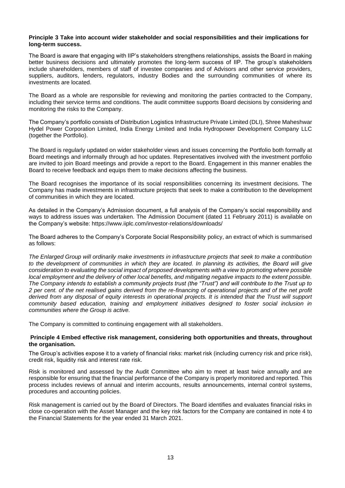#### **Principle 3 Take into account wider stakeholder and social responsibilities and their implications for long-term success.**

The Board is aware that engaging with IIP's stakeholders strengthens relationships, assists the Board in making better business decisions and ultimately promotes the long-term success of IIP. The group's stakeholders include shareholders, members of staff of investee companies and of Advisors and other service providers, suppliers, auditors, lenders, regulators, industry Bodies and the surrounding communities of where its investments are located.

The Board as a whole are responsible for reviewing and monitoring the parties contracted to the Company, including their service terms and conditions. The audit committee supports Board decisions by considering and monitoring the risks to the Company.

The Company's portfolio consists of Distribution Logistics Infrastructure Private Limited (DLI), Shree Maheshwar Hydel Power Corporation Limited, India Energy Limited and India Hydropower Development Company LLC (together the Portfolio).

The Board is regularly updated on wider stakeholder views and issues concerning the Portfolio both formally at Board meetings and informally through ad hoc updates. Representatives involved with the investment portfolio are invited to join Board meetings and provide a report to the Board. Engagement in this manner enables the Board to receive feedback and equips them to make decisions affecting the business.

The Board recognises the importance of its social responsibilities concerning its investment decisions. The Company has made investments in infrastructure projects that seek to make a contribution to the development of communities in which they are located.

As detailed in the Company's Admission document, a full analysis of the Company's social responsibility and ways to address issues was undertaken. The Admission Document (dated 11 February 2011) is available on the Company's website:<https://www.iiplc.com/investor-relations/downloads/>

The Board adheres to the Company's Corporate Social Responsibility policy, an extract of which is summarised as follows:

*The Enlarged Group will ordinarily make investments in infrastructure projects that seek to make a contribution to the development of communities in which they are located. In planning its activities, the Board will give consideration to evaluating the social impact of proposed developments with a view to promoting where possible local employment and the delivery of other local benefits, and mitigating negative impacts to the extent possible. The Company intends to establish a community projects trust (the "Trust") and will contribute to the Trust up to 2 per cent. of the net realised gains derived from the re-financing of operational projects and of the net profit derived from any disposal of equity interests in operational projects. It is intended that the Trust will support community based education, training and employment initiatives designed to foster social inclusion in communities where the Group is active.* 

The Company is committed to continuing engagement with all stakeholders.

#### **Principle 4 Embed effective risk management, considering both opportunities and threats, throughout the organisation.**

The Group's activities expose it to a variety of financial risks: market risk (including currency risk and price risk), credit risk, liquidity risk and interest rate risk.

Risk is monitored and assessed by the Audit Committee who aim to meet at least twice annually and are responsible for ensuring that the financial performance of the Company is properly monitored and reported. This process includes reviews of annual and interim accounts, results announcements, internal control systems, procedures and accounting policies.

Risk management is carried out by the Board of Directors. The Board identifies and evaluates financial risks in close co-operation with the Asset Manager and the key risk factors for the Company are contained in note 4 to the Financial Statements for the year ended 31 March 2021.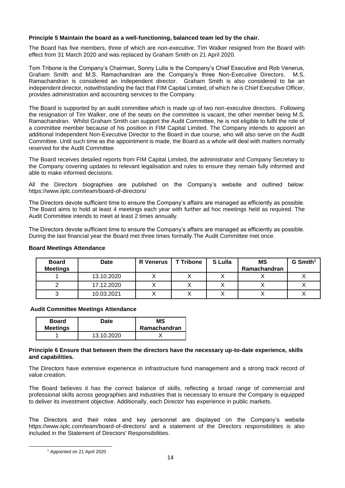#### **Principle 5 Maintain the board as a well-functioning, balanced team led by the chair.**

The Board has five members, three of which are non-executive. Tim Walker resigned from the Board with effect from 31 March 2020 and was replaced by Graham Smith on 21 April 2020.

Tom Tribone is the Company's Chairman, Sonny Lulla is the Company's Chief Executive and Rob Venerus, Graham Smith and M.S. Ramachandran are the Company's three Non-Executive Directors. M.S. Ramachandran is considered an independent director. Graham Smith is also considered to be an independent director, notwithstanding the fact that FIM Capital Limited, of which he is Chief Executive Officer, provides administration and accounting services to the Company.

The Board is supported by an audit committee which is made up of two non-executive directors. Following the resignation of Tim Walker, one of the seats on the committee is vacant, the other member being M.S. Ramachandran. Whilst Graham Smith can support the Audit Committee, he is not eligible to fulfil the role of a committee member because of his position in FIM Capital Limited. The Company intends to appoint an additional Independent Non-Executive Director to the Board in due course, who will also serve on the Audit Committee. Until such time as the appointment is made, the Board as a whole will deal with matters normally reserved for the Audit Committee.

The Board receives detailed reports from FIM Capital Limited, the administrator and Company Secretary to the Company covering updates to relevant legalisation and rules to ensure they remain fully informed and able to make informed decisions.

All the Directors biographies are published on the Company's website and outlined below: <https://www.iiplc.com/team/board-of-directors/>

The Directors devote sufficient time to ensure the Company's affairs are managed as efficiently as possible. The Board aims to hold at least 4 meetings each year with further ad hoc meetings held as required. The Audit Committee intends to meet at least 2 times annually.

The Directors devote sufficient time to ensure the Company's affairs are managed as efficiently as possible. During the last financial year the Board met three times formally.The Audit Committee met once.

| <b>Board</b><br><b>Meetings</b> | Date       | <b>R</b> Venerus | <b>T</b> Tribone | S Lulla | МS<br>Ramachandran | $G$ Smith <sup>1</sup> |
|---------------------------------|------------|------------------|------------------|---------|--------------------|------------------------|
|                                 | 13.10.2020 |                  |                  |         |                    |                        |
|                                 | 17.12.2020 |                  |                  |         |                    |                        |
|                                 | 10.03.2021 |                  |                  |         |                    |                        |

#### **Board Meetings Attendance**

#### **Audit Committee Meetings Attendance**

| Board<br><b>Meetings</b> | Date       | MS<br>Ramachandran |
|--------------------------|------------|--------------------|
|                          | 13.10.2020 |                    |

#### **Principle 6 Ensure that between them the directors have the necessary up-to-date experience, skills and capabilities.**

The Directors have extensive experience in infrastructure fund management and a strong track record of value creation.

The Board believes it has the correct balance of skills, reflecting a broad range of commercial and professional skills across geographies and industries that is necessary to ensure the Company is equipped to deliver its investment objective. Additionally, each Director has experience in public markets.

The Directors and their roles and key personnel are displayed on the Company's website https:/[/www.iiplc.com/team/board-of-directors/ an](http://www.iiplc.com/team/board-of-directors/)d a statement of the Directors responsibilities is also included in the Statement of Directors' Responsibilities.

<sup>1</sup> Appointed on 21 April 2020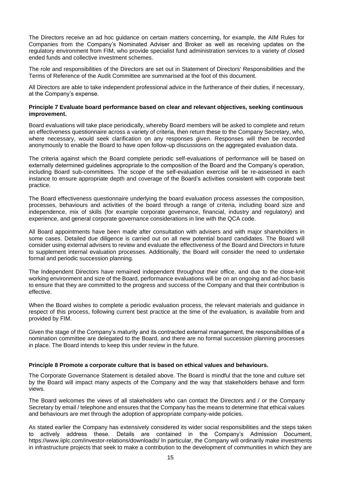The Directors receive an ad hoc guidance on certain matters concerning, for example, the AIM Rules for Companies from the Company's Nominated Adviser and Broker as well as receiving updates on the regulatory environment from FIM, who provide specialist fund administration services to a variety of closed ended funds and collective investment schemes.

The role and responsibilities of the Directors are set out in Statement of Directors' Responsibilities and the Terms of Reference of the Audit Committee are summarised at the foot of this document.

All Directors are able to take independent professional advice in the furtherance of their duties, if necessary, at the Company's expense.

#### **Principle 7 Evaluate board performance based on clear and relevant objectives, seeking continuous improvement.**

Board evaluations will take place periodically, whereby Board members will be asked to complete and return an effectiveness questionnaire across a variety of criteria, then return these to the Company Secretary, who, where necessary, would seek clarification on any responses given. Responses will then be recorded anonymously to enable the Board to have open follow-up discussions on the aggregated evaluation data.

The criteria against which the Board complete periodic self-evaluations of performance will be based on externally determined guidelines appropriate to the composition of the Board and the Company's operation, including Board sub-committees. The scope of the self-evaluation exercise will be re-assessed in each instance to ensure appropriate depth and coverage of the Board's activities consistent with corporate best practice.

The Board effectiveness questionnaire underlying the board evaluation process assesses the composition, processes, behaviours and activities of the board through a range of criteria, including board size and independence, mix of skills (for example corporate governance, financial, industry and regulatory) and experience, and general corporate governance considerations in line with the QCA code.

All Board appointments have been made after consultation with advisers and with major shareholders in some cases. Detailed due diligence is carried out on all new potential board candidates. The Board will consider using external advisers to review and evaluate the effectiveness of the Board and Directors in future to supplement internal evaluation processes. Additionally, the Board will consider the need to undertake formal and periodic succession planning.

The Independent Directors have remained independent throughout their office, and due to the close-knit working environment and size of the Board, performance evaluations will be on an ongoing and ad-hoc basis to ensure that they are committed to the progress and success of the Company and that their contribution is effective.

When the Board wishes to complete a periodic evaluation process, the relevant materials and guidance in respect of this process, following current best practice at the time of the evaluation, is available from and provided by FIM.

Given the stage of the Company's maturity and its contracted external management, the responsibilities of a nomination committee are delegated to the Board, and there are no formal succession planning processes in place. The Board intends to keep this under review in the future.

#### **Principle 8 Promote a corporate culture that is based on ethical values and behaviours.**

The Corporate Governance Statement is detailed above. The Board is mindful that the tone and culture set by the Board will impact many aspects of the Company and the way that stakeholders behave and form views.

The Board welcomes the views of all stakeholders who can contact the Directors and / or the Company Secretary by email / telephone and ensures that the Company has the means to determine that ethical values and behaviours are met through the adoption of appropriate company-wide policies.

As stated earlier the Company has extensively considered its wider social responsibilities and the steps taken to actively address these. Details are contained in the Company's Admission Document, <https://www.iiplc.com/investor-relations/downloads/> In particular, the Company will ordinarily make investments in infrastructure projects that seek to make a contribution to the development of communities in which they are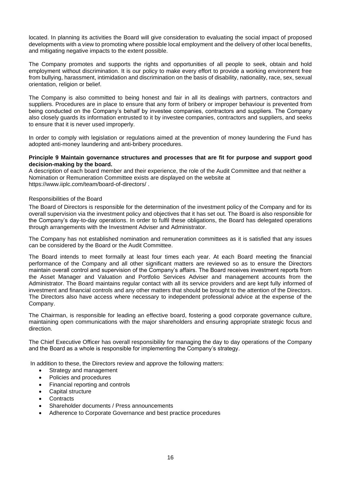located. In planning its activities the Board will give consideration to evaluating the social impact of proposed developments with a view to promoting where possible local employment and the delivery of other local benefits, and mitigating negative impacts to the extent possible.

The Company promotes and supports the rights and opportunities of all people to seek, obtain and hold employment without discrimination. It is our policy to make every effort to provide a working environment free from bullying, harassment, intimidation and discrimination on the basis of disability, nationality, race, sex, sexual orientation, religion or belief.

The Company is also committed to being honest and fair in all its dealings with partners, contractors and suppliers. Procedures are in place to ensure that any form of bribery or improper behaviour is prevented from being conducted on the Company's behalf by investee companies, contractors and suppliers. The Company also closely guards its information entrusted to it by investee companies, contractors and suppliers, and seeks to ensure that it is never used improperly.

In order to comply with legislation or regulations aimed at the prevention of money laundering the Fund has adopted anti-money laundering and anti-bribery procedures.

#### **Principle 9 Maintain governance structures and processes that are fit for purpose and support good decision-making by the board.**

A description of each board member and their experience, the role of the Audit Committee and that neither a Nomination or Remuneration Committee exists are displayed on the website at https:/[/www.iiplc.com/team/board-of-directors/](http://www.iiplc.com/team/board-of-directors/) [.](http://www.iiplc.com/team/board-of-directors/)

#### Responsibilities of the Board

The Board of Directors is responsible for the determination of the investment policy of the Company and for its overall supervision via the investment policy and objectives that it has set out. The Board is also responsible for the Company's day-to-day operations. In order to fulfil these obligations, the Board has delegated operations through arrangements with the Investment Adviser and Administrator.

The Company has not established nomination and remuneration committees as it is satisfied that any issues can be considered by the Board or the Audit Committee.

The Board intends to meet formally at least four times each year. At each Board meeting the financial performance of the Company and all other significant matters are reviewed so as to ensure the Directors maintain overall control and supervision of the Company's affairs. The Board receives investment reports from the Asset Manager and Valuation and Portfolio Services Adviser and management accounts from the Administrator. The Board maintains regular contact with all its service providers and are kept fully informed of investment and financial controls and any other matters that should be brought to the attention of the Directors. The Directors also have access where necessary to independent professional advice at the expense of the Company.

The Chairman, is responsible for leading an effective board, fostering a good corporate governance culture, maintaining open communications with the major shareholders and ensuring appropriate strategic focus and direction.

The Chief Executive Officer has overall responsibility for managing the day to day operations of the Company and the Board as a whole is responsible for implementing the Company's strategy.

In addition to these, the Directors review and approve the following matters:

- Strategy and management
- Policies and procedures
- Financial reporting and controls
- Capital structure
- **Contracts**
- Shareholder documents / Press announcements
- Adherence to Corporate Governance and best practice procedures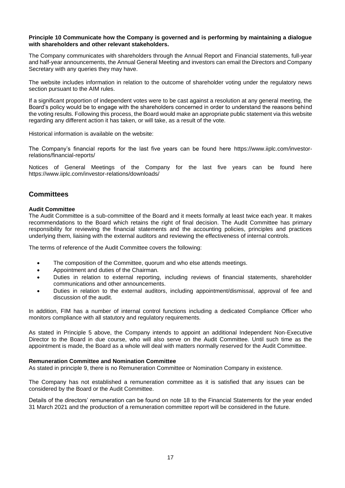#### **Principle 10 Communicate how the Company is governed and is performing by maintaining a dialogue with shareholders and other relevant stakeholders.**

The Company communicates with shareholders through the Annual Report and Financial statements, full-year and half-year announcements, the Annual General Meeting and investors can email the Directors and Company Secretary with any queries they may have.

The website includes information in relation to the outcome of shareholder voting under the regulatory news section pursuant to the AIM rules.

If a significant proportion of independent votes were to be cast against a resolution at any general meeting, the Board's policy would be to engage with the shareholders concerned in order to understand the reasons behind the voting results. Following this process, the Board would make an appropriate public statement via this website regarding any different action it has taken, or will take, as a result of the vote.

Historical information is available on the website:

The Company's financial reports for the last five years can be found here [https://www.iiplc.com/investor](https://www.iiplc.com/investor-relations/financial-reports/)[relations/financial-reports/](https://www.iiplc.com/investor-relations/financial-reports/)

Notices of General Meetings of the Company for the last five years can be found here <https://www.iiplc.com/investor-relations/downloads/>

#### **Committees**

#### **Audit Committee**

The Audit Committee is a sub-committee of the Board and it meets formally at least twice each year. It makes recommendations to the Board which retains the right of final decision. The Audit Committee has primary responsibility for reviewing the financial statements and the accounting policies, principles and practices underlying them, liaising with the external auditors and reviewing the effectiveness of internal controls.

The terms of reference of the Audit Committee covers the following:

- The composition of the Committee, quorum and who else attends meetings.
- Appointment and duties of the Chairman.
- Duties in relation to external reporting, including reviews of financial statements, shareholder communications and other announcements.
- Duties in relation to the external auditors, including appointment/dismissal, approval of fee and discussion of the audit.

In addition, FIM has a number of internal control functions including a dedicated Compliance Officer who monitors compliance with all statutory and regulatory requirements.

As stated in Principle 5 above, the Company intends to appoint an additional Independent Non-Executive Director to the Board in due course, who will also serve on the Audit Committee. Until such time as the appointment is made, the Board as a whole will deal with matters normally reserved for the Audit Committee.

#### **Remuneration Committee and Nomination Committee**

As stated in principle 9, there is no Remuneration Committee or Nomination Company in existence.

The Company has not established a remuneration committee as it is satisfied that any issues can be considered by the Board or the Audit Committee.

Details of the directors' remuneration can be found on note 18 to the Financial Statements for the year ended 31 March 2021 and the production of a remuneration committee report will be considered in the future.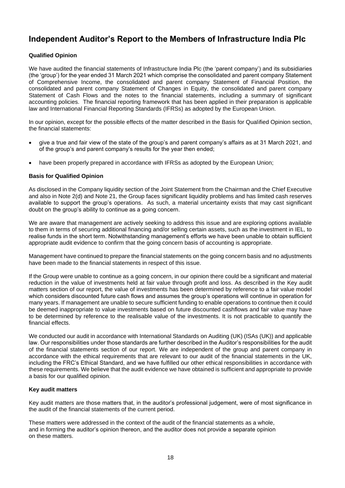## <span id="page-19-0"></span>**Independent Auditor's Report to the Members of Infrastructure India Plc**

#### **Qualified Opinion**

We have audited the financial statements of Infrastructure India Plc (the 'parent company') and its subsidiaries (the 'group') for the year ended 31 March 2021 which comprise the consolidated and parent company Statement of Comprehensive Income, the consolidated and parent company Statement of Financial Position, the consolidated and parent company Statement of Changes in Equity, the consolidated and parent company Statement of Cash Flows and the notes to the financial statements, including a summary of significant accounting policies. The financial reporting framework that has been applied in their preparation is applicable law and International Financial Reporting Standards (IFRSs) as adopted by the European Union.

In our opinion, except for the possible effects of the matter described in the Basis for Qualified Opinion section, the financial statements:

- give a true and fair view of the state of the group's and parent company's affairs as at 31 March 2021, and of the group's and parent company's results for the year then ended;
- have been properly prepared in accordance with IFRSs as adopted by the European Union;

#### **Basis for Qualified Opinion**

As disclosed in the Company liquidity section of the Joint Statement from the Chairman and the Chief Executive and also in Note 2(d) and Note 21, the Group faces significant liquidity problems and has limited cash reserves available to support the group's operations. As such, a material uncertainty exists that may cast significant doubt on the group's ability to continue as a going concern.

We are aware that management are actively seeking to address this issue and are exploring options available to them in terms of securing additional financing and/or selling certain assets, such as the investment in IEL, to realise funds in the short term. Notwithstanding management's efforts we have been unable to obtain sufficient appropriate audit evidence to confirm that the going concern basis of accounting is appropriate.

Management have continued to prepare the financial statements on the going concern basis and no adjustments have been made to the financial statements in respect of this issue.

If the Group were unable to continue as a going concern, in our opinion there could be a significant and material reduction in the value of investments held at fair value through profit and loss. As described in the Key audit matters section of our report, the value of investments has been determined by reference to a fair value model which considers discounted future cash flows and assumes the group's operations will continue in operation for many years. If management are unable to secure sufficient funding to enable operations to continue then it could be deemed inappropriate to value investments based on future discounted cashflows and fair value may have to be determined by reference to the realisable value of the investments. It is not practicable to quantify the financial effects.

We conducted our audit in accordance with International Standards on Auditing (UK) (ISAs (UK)) and applicable law. Our responsibilities under those standards are further described in the Auditor's responsibilities for the audit of the financial statements section of our report. We are independent of the group and parent company in accordance with the ethical requirements that are relevant to our audit of the financial statements in the UK, including the FRC's Ethical Standard, and we have fulfilled our other ethical responsibilities in accordance with these requirements. We believe that the audit evidence we have obtained is sufficient and appropriate to provide a basis for our qualified opinion.

#### **Key audit matters**

Key audit matters are those matters that, in the auditor's professional judgement, were of most significance in the audit of the financial statements of the current period.

These matters were addressed in the context of the audit of the financial statements as a whole, and in forming the auditor's opinion thereon, and the auditor does not provide a separate opinion on these matters.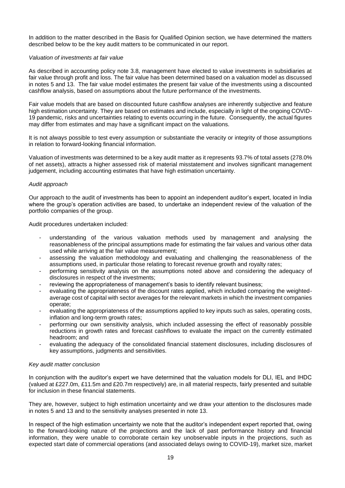In addition to the matter described in the Basis for Qualified Opinion section, we have determined the matters described below to be the key audit matters to be communicated in our report.

#### *Valuation of investments at fair value*

As described in accounting policy note 3.8, management have elected to value investments in subsidiaries at fair value through profit and loss. The fair value has been determined based on a valuation model as discussed in notes 5 and 13. The fair value model estimates the present fair value of the investments using a discounted cashflow analysis, based on assumptions about the future performance of the investments.

Fair value models that are based on discounted future cashflow analyses are inherently subjective and feature high estimation uncertainty. They are based on estimates and include, especially in light of the ongoing COVID-19 pandemic, risks and uncertainties relating to events occurring in the future. Consequently, the actual figures may differ from estimates and may have a significant impact on the valuations.

It is not always possible to test every assumption or substantiate the veracity or integrity of those assumptions in relation to forward-looking financial information.

Valuation of investments was determined to be a key audit matter as it represents 93.7% of total assets (278.0% of net assets), attracts a higher assessed risk of material misstatement and involves significant management judgement, including accounting estimates that have high estimation uncertainty.

#### *Audit approach*

Our approach to the audit of investments has been to appoint an independent auditor's expert, located in India where the group's operation activities are based, to undertake an independent review of the valuation of the portfolio companies of the group.

Audit procedures undertaken included:

- understanding of the various valuation methods used by management and analysing the reasonableness of the principal assumptions made for estimating the fair values and various other data used while arriving at the fair value measurement;
- assessing the valuation methodology and evaluating and challenging the reasonableness of the assumptions used, in particular those relating to forecast revenue growth and royalty rates;
- performing sensitivity analysis on the assumptions noted above and considering the adequacy of disclosures in respect of the investments;
- reviewing the appropriateness of management's basis to identify relevant business;
- evaluating the appropriateness of the discount rates applied, which included comparing the weightedaverage cost of capital with sector averages for the relevant markets in which the investment companies operate;
- evaluating the appropriateness of the assumptions applied to key inputs such as sales, operating costs, inflation and long-term growth rates;
- performing our own sensitivity analysis, which included assessing the effect of reasonably possible reductions in growth rates and forecast cashflows to evaluate the impact on the currently estimated headroom; and
- evaluating the adequacy of the consolidated financial statement disclosures, including disclosures of key assumptions, judgments and sensitivities.

#### *Key audit matter conclusion*

In conjunction with the auditor's expert we have determined that the valuation models for DLI, IEL and IHDC (valued at £227.0m, £11.5m and £20.7m respectively) are, in all material respects, fairly presented and suitable for inclusion in these financial statements.

They are, however, subject to high estimation uncertainty and we draw your attention to the disclosures made in notes 5 and 13 and to the sensitivity analyses presented in note 13.

In respect of the high estimation uncertainty we note that the auditor's independent expert reported that, owing to the forward-looking nature of the projections and the lack of past performance history and financial information, they were unable to corroborate certain key unobservable inputs in the projections, such as expected start date of commercial operations (and associated delays owing to COVID-19), market size, market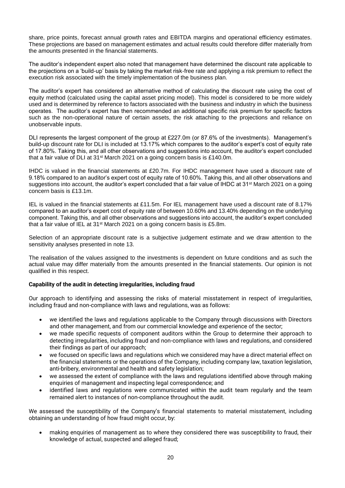share, price points, forecast annual growth rates and EBITDA margins and operational efficiency estimates. These projections are based on management estimates and actual results could therefore differ materially from the amounts presented in the financial statements.

The auditor's independent expert also noted that management have determined the discount rate applicable to the projections on a 'build-up' basis by taking the market risk-free rate and applying a risk premium to reflect the execution risk associated with the timely implementation of the business plan.

The auditor's expert has considered an alternative method of calculating the discount rate using the cost of equity method (calculated using the capital asset pricing model). This model is considered to be more widely used and is determined by reference to factors associated with the business and industry in which the business operates. The auditor's expert has then recommended an additional specific risk premium for specific factors such as the non-operational nature of certain assets, the risk attaching to the projections and reliance on unobservable inputs.

DLI represents the largest component of the group at £227.0m (or 87.6% of the investments). Management's build-up discount rate for DLI is included at 13.17% which compares to the auditor's expert's cost of equity rate of 17.80%. Taking this, and all other observations and suggestions into account, the auditor's expert concluded that a fair value of DLI at 31<sup>st</sup> March 2021 on a going concern basis is £140.0m.

IHDC is valued in the financial statements at £20.7m. For IHDC management have used a discount rate of 9.18% compared to an auditor's expert cost of equity rate of 10.60%. Taking this, and all other observations and suggestions into account, the auditor's expert concluded that a fair value of IHDC at 31<sup>st</sup> March 2021 on a going concern basis is £13.1m.

IEL is valued in the financial statements at £11.5m. For IEL management have used a discount rate of 8.17% compared to an auditor's expert cost of equity rate of between 10.60% and 13.40% depending on the underlying component. Taking this, and all other observations and suggestions into account, the auditor's expert concluded that a fair value of IEL at  $31<sup>st</sup>$  March 2021 on a going concern basis is £5.8m.

Selection of an appropriate discount rate is a subjective judgement estimate and we draw attention to the sensitivity analyses presented in note 13.

The realisation of the values assigned to the investments is dependent on future conditions and as such the actual value may differ materially from the amounts presented in the financial statements. Our opinion is not qualified in this respect.

#### **Capability of the audit in detecting irregularities, including fraud**

Our approach to identifying and assessing the risks of material misstatement in respect of irregularities, including fraud and non-compliance with laws and regulations, was as follows:

- we identified the laws and regulations applicable to the Company through discussions with Directors and other management, and from our commercial knowledge and experience of the sector;
- we made specific requests of component auditors within the Group to determine their approach to detecting irregularities, including fraud and non-compliance with laws and regulations, and considered their findings as part of our approach;
- we focused on specific laws and regulations which we considered may have a direct material effect on the financial statements or the operations of the Company, including company law, taxation legislation, anti-bribery, environmental and health and safety legislation;
- we assessed the extent of compliance with the laws and regulations identified above through making enquiries of management and inspecting legal correspondence; and
- identified laws and regulations were communicated within the audit team regularly and the team remained alert to instances of non-compliance throughout the audit.

We assessed the susceptibility of the Company's financial statements to material misstatement, including obtaining an understanding of how fraud might occur, by:

• making enquiries of management as to where they considered there was susceptibility to fraud, their knowledge of actual, suspected and alleged fraud;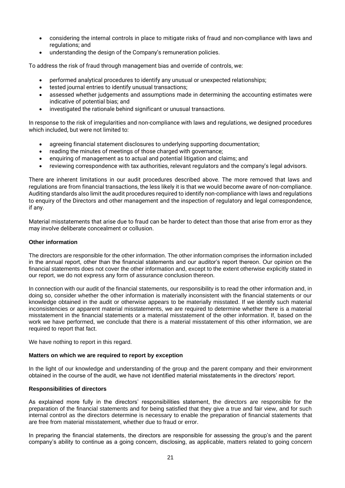- considering the internal controls in place to mitigate risks of fraud and non-compliance with laws and regulations; and
- understanding the design of the Company's remuneration policies.

To address the risk of fraud through management bias and override of controls, we:

- performed analytical procedures to identify any unusual or unexpected relationships;
- tested journal entries to identify unusual transactions;
- assessed whether judgements and assumptions made in determining the accounting estimates were indicative of potential bias; and
- investigated the rationale behind significant or unusual transactions.

In response to the risk of irregularities and non-compliance with laws and regulations, we designed procedures which included, but were not limited to:

- agreeing financial statement disclosures to underlying supporting documentation;
- reading the minutes of meetings of those charged with governance;
- enquiring of management as to actual and potential litigation and claims; and
- reviewing correspondence with tax authorities, relevant regulators and the company's legal advisors.

There are inherent limitations in our audit procedures described above. The more removed that laws and regulations are from financial transactions, the less likely it is that we would become aware of non-compliance. Auditing standards also limit the audit procedures required to identify non-compliance with laws and regulations to enquiry of the Directors and other management and the inspection of regulatory and legal correspondence, if any.

Material misstatements that arise due to fraud can be harder to detect than those that arise from error as they may involve deliberate concealment or collusion.

#### **Other information**

The directors are responsible for the other information. The other information comprises the information included in the annual report, other than the financial statements and our auditor's report thereon. Our opinion on the financial statements does not cover the other information and, except to the extent otherwise explicitly stated in our report, we do not express any form of assurance conclusion thereon.

In connection with our audit of the financial statements, our responsibility is to read the other information and, in doing so, consider whether the other information is materially inconsistent with the financial statements or our knowledge obtained in the audit or otherwise appears to be materially misstated. If we identify such material inconsistencies or apparent material misstatements, we are required to determine whether there is a material misstatement in the financial statements or a material misstatement of the other information. If, based on the work we have performed, we conclude that there is a material misstatement of this other information, we are required to report that fact.

We have nothing to report in this regard.

#### **Matters on which we are required to report by exception**

In the light of our knowledge and understanding of the group and the parent company and their environment obtained in the course of the audit, we have not identified material misstatements in the directors' report.

#### **Responsibilities of directors**

As explained more fully in the directors' responsibilities statement, the directors are responsible for the preparation of the financial statements and for being satisfied that they give a true and fair view, and for such internal control as the directors determine is necessary to enable the preparation of financial statements that are free from material misstatement, whether due to fraud or error.

In preparing the financial statements, the directors are responsible for assessing the group's and the parent company's ability to continue as a going concern, disclosing, as applicable, matters related to going concern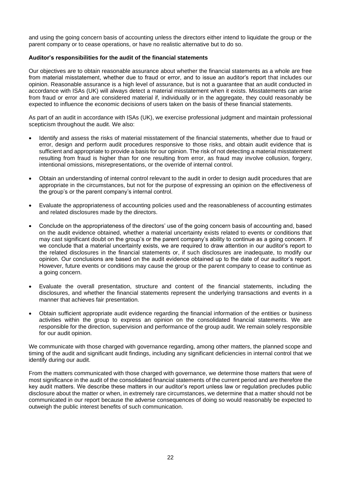and using the going concern basis of accounting unless the directors either intend to liquidate the group or the parent company or to cease operations, or have no realistic alternative but to do so.

#### **Auditor's responsibilities for the audit of the financial statements**

Our objectives are to obtain reasonable assurance about whether the financial statements as a whole are free from material misstatement, whether due to fraud or error, and to issue an auditor's report that includes our opinion. Reasonable assurance is a high level of assurance, but is not a guarantee that an audit conducted in accordance with ISAs (UK) will always detect a material misstatement when it exists. Misstatements can arise from fraud or error and are considered material if, individually or in the aggregate, they could reasonably be expected to influence the economic decisions of users taken on the basis of these financial statements.

As part of an audit in accordance with ISAs (UK), we exercise professional judgment and maintain professional scepticism throughout the audit. We also:

- Identify and assess the risks of material misstatement of the financial statements, whether due to fraud or error, design and perform audit procedures responsive to those risks, and obtain audit evidence that is sufficient and appropriate to provide a basis for our opinion. The risk of not detecting a material misstatement resulting from fraud is higher than for one resulting from error, as fraud may involve collusion, forgery, intentional omissions, misrepresentations, or the override of internal control.
- Obtain an understanding of internal control relevant to the audit in order to design audit procedures that are appropriate in the circumstances, but not for the purpose of expressing an opinion on the effectiveness of the group's or the parent company's internal control.
- Evaluate the appropriateness of accounting policies used and the reasonableness of accounting estimates and related disclosures made by the directors.
- Conclude on the appropriateness of the directors' use of the going concern basis of accounting and, based on the audit evidence obtained, whether a material uncertainty exists related to events or conditions that may cast significant doubt on the group's or the parent company's ability to continue as a going concern. If we conclude that a material uncertainty exists, we are required to draw attention in our auditor's report to the related disclosures in the financial statements or, if such disclosures are inadequate, to modify our opinion. Our conclusions are based on the audit evidence obtained up to the date of our auditor's report. However, future events or conditions may cause the group or the parent company to cease to continue as a going concern.
- Evaluate the overall presentation, structure and content of the financial statements, including the disclosures, and whether the financial statements represent the underlying transactions and events in a manner that achieves fair presentation.
- Obtain sufficient appropriate audit evidence regarding the financial information of the entities or business activities within the group to express an opinion on the consolidated financial statements. We are responsible for the direction, supervision and performance of the group audit. We remain solely responsible for our audit opinion.

We communicate with those charged with governance regarding, among other matters, the planned scope and timing of the audit and significant audit findings, including any significant deficiencies in internal control that we identify during our audit.

From the matters communicated with those charged with governance, we determine those matters that were of most significance in the audit of the consolidated financial statements of the current period and are therefore the key audit matters. We describe these matters in our auditor's report unless law or regulation precludes public disclosure about the matter or when, in extremely rare circumstances, we determine that a matter should not be communicated in our report because the adverse consequences of doing so would reasonably be expected to outweigh the public interest benefits of such communication.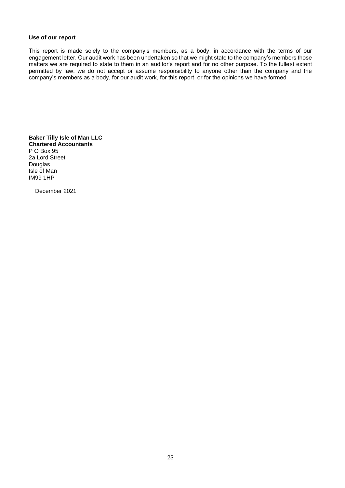#### **Use of our report**

This report is made solely to the company's members, as a body, in accordance with the terms of our engagement letter. Our audit work has been undertaken so that we might state to the company's members those matters we are required to state to them in an auditor's report and for no other purpose. To the fullest extent permitted by law, we do not accept or assume responsibility to anyone other than the company and the company's members as a body, for our audit work, for this report, or for the opinions we have formed

**Baker Tilly Isle of Man LLC Chartered Accountants** P O Box 95 2a Lord Street Douglas Isle of Man IM99 1HP

December 2021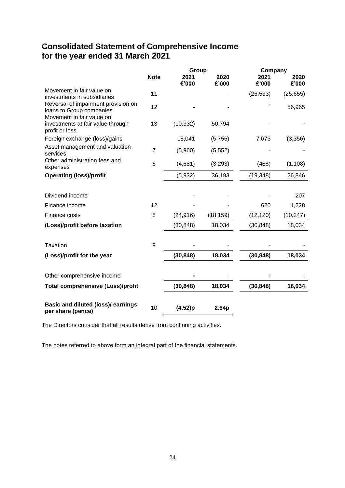## <span id="page-25-0"></span>**Consolidated Statement of Comprehensive Income for the year ended 31 March 2021**

|                                                                                              | Group          |               |               | Company       |               |  |
|----------------------------------------------------------------------------------------------|----------------|---------------|---------------|---------------|---------------|--|
|                                                                                              | <b>Note</b>    | 2021<br>£'000 | 2020<br>£'000 | 2021<br>£'000 | 2020<br>£'000 |  |
| Movement in fair value on<br>investments in subsidiaries                                     | 11             |               |               | (26, 533)     | (25, 655)     |  |
| Reversal of impairment provision on<br>loans to Group companies<br>Movement in fair value on | 12             |               |               |               | 56,965        |  |
| investments at fair value through<br>profit or loss                                          | 13             | (10, 332)     | 50,794        |               |               |  |
| Foreign exchange (loss)/gains                                                                |                | 15,041        | (5,756)       | 7,673         | (3,356)       |  |
| Asset management and valuation<br>services                                                   | $\overline{7}$ | (5,960)       | (5, 552)      |               |               |  |
| Other administration fees and<br>expenses                                                    | 6              | (4,681)       | (3, 293)      | (488)         | (1, 108)      |  |
| <b>Operating (loss)/profit</b>                                                               |                | (5,932)       | 36,193        | (19, 348)     | 26,846        |  |
| Dividend income                                                                              |                |               |               |               | 207           |  |
| Finance income                                                                               | 12             |               |               | 620           | 1,228         |  |
| Finance costs                                                                                | 8              | (24, 916)     | (18, 159)     | (12, 120)     | (10, 247)     |  |
| (Loss)/profit before taxation                                                                |                | (30, 848)     | 18,034        | (30, 848)     | 18,034        |  |
| <b>Taxation</b>                                                                              | $9$            |               |               |               |               |  |
| (Loss)/profit for the year                                                                   |                | (30, 848)     | 18,034        | (30, 848)     | 18,034        |  |
| Other comprehensive income                                                                   |                |               |               |               |               |  |
| <b>Total comprehensive (Loss)/profit</b>                                                     |                | (30, 848)     | 18,034        | (30, 848)     | 18,034        |  |
| Basic and diluted (loss)/ earnings<br>per share (pence)                                      | 10             | (4.52)p       | 2.64p         |               |               |  |

The Directors consider that all results derive from continuing activities.

The notes referred to above form an integral part of the financial statements.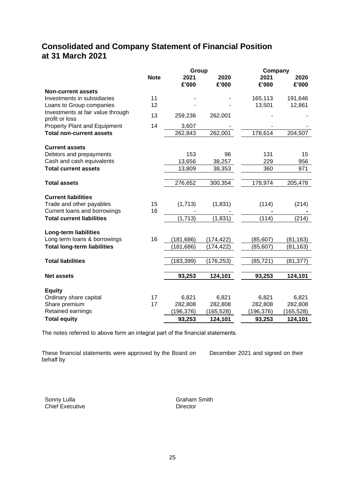## <span id="page-26-0"></span>**Consolidated and Company Statement of Financial Position at 31 March 2021**

|                                                     |             | Group      |            | Company    |            |  |
|-----------------------------------------------------|-------------|------------|------------|------------|------------|--|
|                                                     | <b>Note</b> | 2021       | 2020       | 2021       | 2020       |  |
|                                                     |             | £'000      | £'000      | £'000      | £'000      |  |
| <b>Non-current assets</b>                           |             |            |            |            |            |  |
| Investments in subsidiaries                         | 11          |            |            | 165,113    | 191,646    |  |
| Loans to Group companies                            | 12          |            |            | 13,501     | 12,861     |  |
| Investments at fair value through<br>profit or loss | 13          | 259,236    | 262,001    |            |            |  |
| <b>Property Plant and Equipment</b>                 | 14          | 3,607      |            |            |            |  |
| <b>Total non-current assets</b>                     |             | 262,843    | 262,001    | 178,614    | 204,507    |  |
| <b>Current assets</b>                               |             |            |            |            |            |  |
| Debtors and prepayments                             |             | 153        | 96         | 131        | 15         |  |
| Cash and cash equivalents                           |             | 13,656     | 38,257     | 229        | 956        |  |
| <b>Total current assets</b>                         |             | 13,809     | 38,353     | 360        | 971        |  |
| <b>Total assets</b>                                 |             | 276,652    | 300,354    | 178,974    | 205,478    |  |
| <b>Current liabilities</b>                          |             |            |            |            |            |  |
| Trade and other payables                            | 15          | (1,713)    | (1,831)    | (114)      | (214)      |  |
| Current loans and borrowings                        | 16          |            |            |            |            |  |
| <b>Total current liabilities</b>                    |             | (1,713)    | (1, 831)   | (114)      | (214)      |  |
|                                                     |             |            |            |            |            |  |
| <b>Long-term liabilities</b>                        |             |            |            |            |            |  |
| Long term loans & borrowings                        | 16          | (181, 686) | (174,422)  | (85, 607)  | (81, 163)  |  |
| <b>Total long-term liabilities</b>                  |             | (181, 686) | (174, 422) | (85, 607)  | (81, 163)  |  |
| <b>Total liabilities</b>                            |             | (183, 399) | (176, 253) | (85, 721)  | (81, 377)  |  |
|                                                     |             |            |            |            |            |  |
| <b>Net assets</b>                                   |             | 93,253     | 124,101    | 93,253     | 124,101    |  |
| <b>Equity</b>                                       |             |            |            |            |            |  |
| Ordinary share capital                              | 17          | 6,821      | 6,821      | 6,821      | 6,821      |  |
| Share premium                                       | 17          | 282,808    | 282,808    | 282,808    | 282,808    |  |
| Retained earnings                                   |             | (196, 376) | (165, 528) | (196, 376) | (165, 528) |  |
| <b>Total equity</b>                                 |             | 93,253     | 124,101    | 93,253     | 124,101    |  |

The notes referred to above form an integral part of the financial statements.

These financial statements were approved by the Board on December 2021 and signed on their behalf by

Sonny Lulla Graham Smith Chief Executive **Director** Director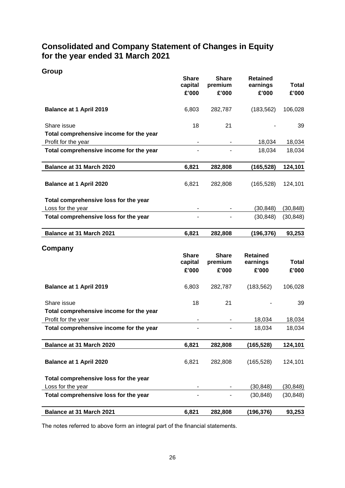## <span id="page-27-0"></span>**Consolidated and Company Statement of Changes in Equity for the year ended 31 March 2021**

**Group** 

|                                                                | <b>Share</b><br>capital<br>£'000 | <b>Share</b><br>premium<br>£'000 | <b>Retained</b><br>earnings<br>£'000 | <b>Total</b><br>£'000 |
|----------------------------------------------------------------|----------------------------------|----------------------------------|--------------------------------------|-----------------------|
| <b>Balance at 1 April 2019</b>                                 | 6,803                            | 282,787                          | (183, 562)                           | 106,028               |
| Share issue                                                    | 18                               | 21                               |                                      | 39                    |
| Total comprehensive income for the year                        |                                  |                                  |                                      |                       |
| Profit for the year<br>Total comprehensive income for the year |                                  |                                  | 18,034<br>18,034                     | 18,034<br>18,034      |
|                                                                |                                  |                                  |                                      |                       |
| Balance at 31 March 2020                                       | 6,821                            | 282,808                          | (165, 528)                           | 124,101               |
| <b>Balance at 1 April 2020</b>                                 | 6,821                            | 282,808                          | (165, 528)                           | 124,101               |
| Total comprehensive loss for the year                          |                                  |                                  |                                      |                       |
| Loss for the year                                              |                                  |                                  | (30, 848)                            | (30, 848)             |
| Total comprehensive loss for the year                          |                                  |                                  | (30, 848)                            | (30, 848)             |
| Balance at 31 March 2021                                       | 6,821                            | 282,808                          | (196, 376)                           | 93,253                |
| Company                                                        |                                  |                                  |                                      |                       |
|                                                                | <b>Share</b>                     | <b>Share</b>                     | <b>Retained</b>                      |                       |
|                                                                | capital                          | premium                          | earnings                             | <b>Total</b>          |
|                                                                | £'000                            | £'000                            | £'000                                | £'000                 |
| <b>Balance at 1 April 2019</b>                                 | 6,803                            | 282,787                          | (183, 562)                           | 106,028               |
| Share issue                                                    | 18                               | 21                               |                                      | 39                    |
| Total comprehensive income for the year                        |                                  |                                  |                                      |                       |
| Profit for the year                                            |                                  |                                  | 18,034                               | 18,034                |
| Total comprehensive income for the year                        |                                  |                                  | 18,034                               | 18,034                |
| Balance at 31 March 2020                                       | 6,821                            | 282,808                          | (165,528)                            | 124,101               |
| <b>Balance at 1 April 2020</b>                                 | 6,821                            | 282,808                          | (165, 528)                           | 124,101               |
| Total comprehensive loss for the year                          |                                  |                                  |                                      |                       |
| Loss for the year                                              |                                  |                                  | (30, 848)                            | (30, 848)             |
| Total comprehensive loss for the year                          | ۰                                |                                  | (30, 848)                            | (30, 848)             |
| Balance at 31 March 2021                                       | 6,821                            | 282,808                          | (196, 376)                           | 93,253                |

The notes referred to above form an integral part of the financial statements.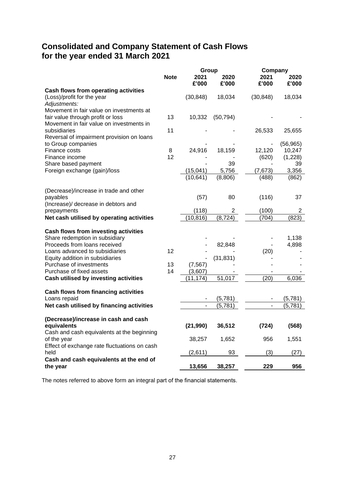## <span id="page-28-0"></span>**Consolidated and Company Statement of Cash Flows for the year ended 31 March 2021**

|                                                                               |             | Group                    |               | Company        |               |
|-------------------------------------------------------------------------------|-------------|--------------------------|---------------|----------------|---------------|
|                                                                               | <b>Note</b> | 2021<br>£'000            | 2020<br>£'000 | 2021<br>£'000  | 2020<br>£'000 |
| Cash flows from operating activities                                          |             |                          |               |                |               |
| (Loss)/profit for the year                                                    |             | (30, 848)                | 18,034        | (30, 848)      | 18,034        |
| Adjustments:                                                                  |             |                          |               |                |               |
| Movement in fair value on investments at                                      |             |                          |               |                |               |
| fair value through profit or loss<br>Movement in fair value on investments in | 13          | 10,332                   | (50, 794)     |                |               |
| subsidiaries                                                                  | 11          |                          |               | 26,533         | 25,655        |
| Reversal of impairment provision on loans                                     |             |                          |               |                |               |
| to Group companies                                                            |             |                          |               |                | (56, 965)     |
| Finance costs                                                                 | 8           | 24,916                   | 18,159        | 12,120         | 10,247        |
| Finance income                                                                | 12          |                          |               | (620)          | (1,228)       |
| Share based payment                                                           |             |                          | 39            |                | 39            |
| Foreign exchange (gain)/loss                                                  |             | (15,041)                 | 5,756         | (7,673)        | 3,356         |
|                                                                               |             | (10, 641)                | (8,806)       | (488)          | (862)         |
| (Decrease)/increase in trade and other                                        |             |                          |               |                |               |
| payables                                                                      |             | (57)                     | 80            | (116)          | 37            |
| (Increase)/ decrease in debtors and                                           |             |                          |               |                |               |
| prepayments                                                                   |             | (118)                    | 2             | (100)          | 2             |
| Net cash utilised by operating activities                                     |             | (10, 816)                | (8, 724)      | (704)          | (823)         |
|                                                                               |             |                          |               |                |               |
| Cash flows from investing activities                                          |             |                          |               |                |               |
| Share redemption in subsidiary<br>Proceeds from loans received                |             |                          |               |                | 1,138         |
| Loans advanced to subsidiaries                                                | 12          |                          | 82,848        | (20)           | 4,898         |
| Equity addition in subsidiaries                                               |             |                          | (31, 831)     |                |               |
| Purchase of investments                                                       | 13          | (7, 567)                 |               |                |               |
| Purchase of fixed assets                                                      | 14          | (3,607)                  |               |                |               |
| Cash utilised by investing activities                                         |             | (11, 174)                | 51,017        | (20)           | 6,036         |
|                                                                               |             |                          |               |                |               |
| <b>Cash flows from financing activities</b>                                   |             |                          |               |                |               |
| Loans repaid                                                                  |             | ٠                        | (5,781)       |                | (5,781)       |
| Net cash utilised by financing activities                                     |             | $\overline{\phantom{a}}$ | (5,781)       | $\blacksquare$ | (5,781)       |
| (Decrease)/increase in cash and cash                                          |             |                          |               |                |               |
| equivalents                                                                   |             | (21, 990)                | 36,512        | (724)          | (568)         |
| Cash and cash equivalents at the beginning                                    |             |                          |               |                |               |
| of the year                                                                   |             | 38,257                   | 1,652         | 956            | 1,551         |
| Effect of exchange rate fluctuations on cash                                  |             |                          |               |                |               |
| held                                                                          |             | (2,611)                  | 93            | (3)            | (27)          |
| Cash and cash equivalents at the end of                                       |             |                          |               |                |               |
| the year                                                                      |             | 13,656                   | 38,257        | 229            | 956           |

The notes referred to above form an integral part of the financial statements.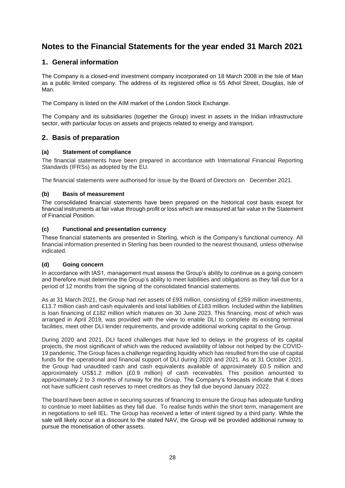## <span id="page-29-0"></span>**Notes to the Financial Statements for the year ended 31 March 2021**

### **1. General information**

The Company is a closed-end investment company incorporated on 18 March 2008 in the Isle of Man as a public limited company. The address of its registered office is 55 Athol Street, Douglas, Isle of Man.

The Company is listed on the AIM market of the London Stock Exchange.

The Company and its subsidiaries (together the Group) invest in assets in the Indian infrastructure sector, with particular focus on assets and projects related to energy and transport.

#### **2. Basis of preparation**

#### **(a) Statement of compliance**

The financial statements have been prepared in accordance with International Financial Reporting Standards (IFRSs) as adopted by the EU.

The financial statements were authorised for issue by the Board of Directors on December 2021.

#### **(b) Basis of measurement**

The consolidated financial statements have been prepared on the historical cost basis except for financial instruments at fair value through profit or loss which are measured at fair value in the Statement of Financial Position.

#### **(c) Functional and presentation currency**

These financial statements are presented in Sterling, which is the Company's functional currency. All financial information presented in Sterling has been rounded to the nearest thousand, unless otherwise indicated.

#### **(d) Going concern**

In accordance with IAS1, management must assess the Group's ability to continue as a going concern and therefore must determine the Group's ability to meet liabilities and obligations as they fall due for a period of 12 months from the signing of the consolidated financial statements.

As at 31 March 2021, the Group had net assets of £93 million, consisting of £259 million investments, £13.7 million cash and cash equivalents and total liabilities of £183 million. Included within the liabilities is loan financing of £182 million which matures on 30 June 2023. This financing, most of which was arranged in April 2019, was provided with the view to enable DLI to complete its existing terminal facilities, meet other DLI lender requirements, and provide additional working capital to the Group.

During 2020 and 2021, DLI faced challenges that have led to delays in the progress of its capital projects, the most significant of which was the reduced availability of labour not helped by the COVID-19 pandemic. The Group faces a challenge regarding liquidity which has resulted from the use of capital funds for the operational and financial support of DLI during 2020 and 2021. As at 31 October 2021, the Group had unaudited cash and cash equivalents available of approximately £0.5 million and approximately US\$1.2 million (£0.9 million) of cash receivables. This position amounted to approximately 2 to 3 months of runway for the Group. The Company's forecasts indicate that it does not have sufficient cash reserves to meet creditors as they fall due beyond January 2022.

The board have been active in securing sources of financing to ensure the Group has adequate funding to continue to meet liabilities as they fall due. To realise funds within the short term, management are in negotiations to sell IEL. The Group has received a letter of intent signed by a third party. While the sale will likely occur at a discount to the stated NAV, the Group will be provided additional runway to pursue the monetisation of other assets.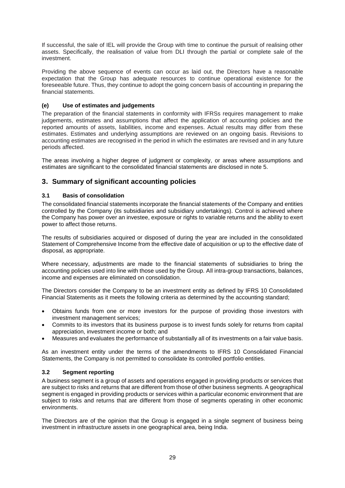If successful, the sale of IEL will provide the Group with time to continue the pursuit of realising other assets. Specifically, the realisation of value from DLI through the partial or complete sale of the investment.

Providing the above sequence of events can occur as laid out, the Directors have a reasonable expectation that the Group has adequate resources to continue operational existence for the foreseeable future. Thus, they continue to adopt the going concern basis of accounting in preparing the financial statements.

#### **(e) Use of estimates and judgements**

The preparation of the financial statements in conformity with IFRSs requires management to make judgements, estimates and assumptions that affect the application of accounting policies and the reported amounts of assets, liabilities, income and expenses. Actual results may differ from these estimates. Estimates and underlying assumptions are reviewed on an ongoing basis. Revisions to accounting estimates are recognised in the period in which the estimates are revised and in any future periods affected.

The areas involving a higher degree of judgment or complexity, or areas where assumptions and estimates are significant to the consolidated financial statements are disclosed in note 5.

#### **3. Summary of significant accounting policies**

#### **3.1 Basis of consolidation**

The consolidated financial statements incorporate the financial statements of the Company and entities controlled by the Company (its subsidiaries and subsidiary undertakings). Control is achieved where the Company has power over an investee, exposure or rights to variable returns and the ability to exert power to affect those returns.

The results of subsidiaries acquired or disposed of during the year are included in the consolidated Statement of Comprehensive Income from the effective date of acquisition or up to the effective date of disposal, as appropriate.

Where necessary, adjustments are made to the financial statements of subsidiaries to bring the accounting policies used into line with those used by the Group. All intra-group transactions, balances, income and expenses are eliminated on consolidation.

The Directors consider the Company to be an investment entity as defined by IFRS 10 Consolidated Financial Statements as it meets the following criteria as determined by the accounting standard;

- Obtains funds from one or more investors for the purpose of providing those investors with investment management services;
- Commits to its investors that its business purpose is to invest funds solely for returns from capital appreciation, investment income or both; and
- Measures and evaluates the performance of substantially all of its investments on a fair value basis.

As an investment entity under the terms of the amendments to IFRS 10 Consolidated Financial Statements, the Company is not permitted to consolidate its controlled portfolio entities.

#### **3.2 Segment reporting**

A business segment is a group of assets and operations engaged in providing products or services that are subject to risks and returns that are different from those of other business segments. A geographical segment is engaged in providing products or services within a particular economic environment that are subject to risks and returns that are different from those of segments operating in other economic environments.

The Directors are of the opinion that the Group is engaged in a single segment of business being investment in infrastructure assets in one geographical area, being India.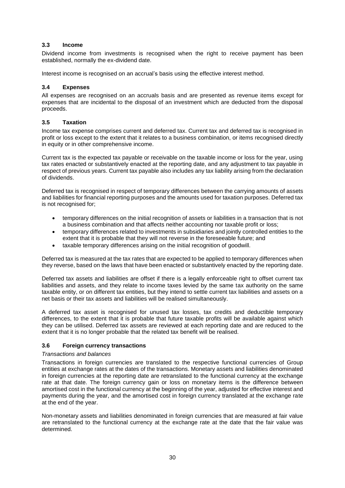#### **3.3 Income**

Dividend income from investments is recognised when the right to receive payment has been established, normally the ex-dividend date.

Interest income is recognised on an accrual's basis using the effective interest method.

#### **3.4 Expenses**

All expenses are recognised on an accruals basis and are presented as revenue items except for expenses that are incidental to the disposal of an investment which are deducted from the disposal proceeds.

#### **3.5 Taxation**

Income tax expense comprises current and deferred tax. Current tax and deferred tax is recognised in profit or loss except to the extent that it relates to a business combination, or items recognised directly in equity or in other comprehensive income.

Current tax is the expected tax payable or receivable on the taxable income or loss for the year, using tax rates enacted or substantively enacted at the reporting date, and any adjustment to tax payable in respect of previous years. Current tax payable also includes any tax liability arising from the declaration of dividends.

Deferred tax is recognised in respect of temporary differences between the carrying amounts of assets and liabilities for financial reporting purposes and the amounts used for taxation purposes. Deferred tax is not recognised for;

- temporary differences on the initial recognition of assets or liabilities in a transaction that is not a business combination and that affects neither accounting nor taxable profit or loss;
- temporary differences related to investments in subsidiaries and jointly controlled entities to the extent that it is probable that they will not reverse in the foreseeable future; and
- taxable temporary differences arising on the initial recognition of goodwill.

Deferred tax is measured at the tax rates that are expected to be applied to temporary differences when they reverse, based on the laws that have been enacted or substantively enacted by the reporting date.

Deferred tax assets and liabilities are offset if there is a legally enforceable right to offset current tax liabilities and assets, and they relate to income taxes levied by the same tax authority on the same taxable entity, or on different tax entities, but they intend to settle current tax liabilities and assets on a net basis or their tax assets and liabilities will be realised simultaneously.

A deferred tax asset is recognised for unused tax losses, tax credits and deductible temporary differences, to the extent that it is probable that future taxable profits will be available against which they can be utilised. Deferred tax assets are reviewed at each reporting date and are reduced to the extent that it is no longer probable that the related tax benefit will be realised.

#### **3.6 Foreign currency transactions**

#### *Transactions and balances*

Transactions in foreign currencies are translated to the respective functional currencies of Group entities at exchange rates at the dates of the transactions. Monetary assets and liabilities denominated in foreign currencies at the reporting date are retranslated to the functional currency at the exchange rate at that date. The foreign currency gain or loss on monetary items is the difference between amortised cost in the functional currency at the beginning of the year, adjusted for effective interest and payments during the year, and the amortised cost in foreign currency translated at the exchange rate at the end of the year.

Non-monetary assets and liabilities denominated in foreign currencies that are measured at fair value are retranslated to the functional currency at the exchange rate at the date that the fair value was determined.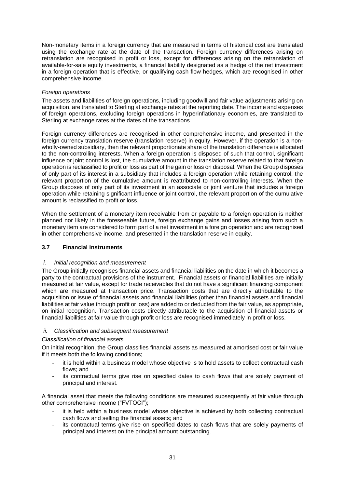Non-monetary items in a foreign currency that are measured in terms of historical cost are translated using the exchange rate at the date of the transaction. Foreign currency differences arising on retranslation are recognised in profit or loss, except for differences arising on the retranslation of available-for-sale equity investments, a financial liability designated as a hedge of the net investment in a foreign operation that is effective, or qualifying cash flow hedges, which are recognised in other comprehensive income.

#### *Foreign operations*

The assets and liabilities of foreign operations, including goodwill and fair value adjustments arising on acquisition, are translated to Sterling at exchange rates at the reporting date. The income and expenses of foreign operations, excluding foreign operations in hyperinflationary economies, are translated to Sterling at exchange rates at the dates of the transactions.

Foreign currency differences are recognised in other comprehensive income, and presented in the foreign currency translation reserve (translation reserve) in equity. However, if the operation is a nonwholly-owned subsidiary, then the relevant proportionate share of the translation difference is allocated to the non-controlling interests. When a foreign operation is disposed of such that control, significant influence or joint control is lost, the cumulative amount in the translation reserve related to that foreign operation is reclassified to profit or loss as part of the gain or loss on disposal. When the Group disposes of only part of its interest in a subsidiary that includes a foreign operation while retaining control, the relevant proportion of the cumulative amount is reattributed to non-controlling interests. When the Group disposes of only part of its investment in an associate or joint venture that includes a foreign operation while retaining significant influence or joint control, the relevant proportion of the cumulative amount is reclassified to profit or loss.

When the settlement of a monetary item receivable from or payable to a foreign operation is neither planned nor likely in the foreseeable future, foreign exchange gains and losses arising from such a monetary item are considered to form part of a net investment in a foreign operation and are recognised in other comprehensive income, and presented in the translation reserve in equity.

#### **3.7 Financial instruments**

#### *i. Initial recognition and measurement*

The Group initially recognises financial assets and financial liabilities on the date in which it becomes a party to the contractual provisions of the instrument. Financial assets or financial liabilities are initially measured at fair value, except for trade receivables that do not have a significant financing component which are measured at transaction price. Transaction costs that are directly attributable to the acquisition or issue of financial assets and financial liabilities (other than financial assets and financial liabilities at fair value through profit or loss) are added to or deducted from the fair value, as appropriate, on initial recognition. Transaction costs directly attributable to the acquisition of financial assets or financial liabilities at fair value through profit or loss are recognised immediately in profit or loss.

#### *ii. Classification and subsequent measurement*

#### *Classification of financial assets*

On initial recognition, the Group classifies financial assets as measured at amortised cost or fair value if it meets both the following conditions;

- it is held within a business model whose objective is to hold assets to collect contractual cash flows; and
- its contractual terms give rise on specified dates to cash flows that are solely payment of principal and interest.

A financial asset that meets the following conditions are measured subsequently at fair value through other comprehensive income ("FVTOCI");

- it is held within a business model whose objective is achieved by both collecting contractual cash flows and selling the financial assets; and
- its contractual terms give rise on specified dates to cash flows that are solely payments of principal and interest on the principal amount outstanding.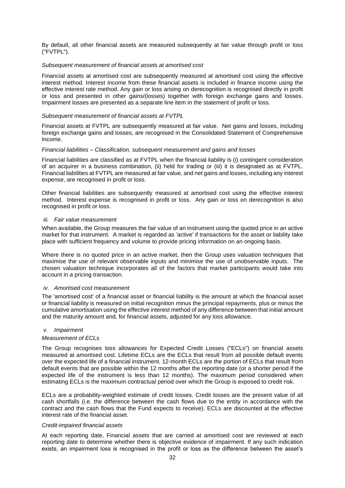By default, all other financial assets are measured subsequently at fair value through profit or loss ("FVTPL").

#### *Subsequent measurement of financial assets at amortised cost*

Financial assets at amortised cost are subsequently measured at amortised cost using the effective interest method. Interest income from these financial assets is included in finance income using the effective interest rate method. Any gain or loss arising on derecognition is recognised directly in profit or loss and presented in other gains/(losses) together with foreign exchange gains and losses. Impairment losses are presented as a separate line item in the statement of profit or loss.

#### *Subsequent measurement of financial assets at FVTPL*

Financial assets at FVTPL are subsequently measured at fair value. Net gains and losses, including foreign exchange gains and losses, are recognised in the Consolidated Statement of Comprehensive Income.

#### *Financial liabilities – Classification, subsequent measurement and gains and losses*

Financial liabilities are classified as at FVTPL when the financial liability is (i) contingent consideration of an acquirer in a business combination, (ii) held for trading or (iii) it is designated as at FVTPL. Financial liabilities at FVTPL are measured at fair value, and net gains and losses, including any interest expense, are recognised in profit or loss.

Other financial liabilities are subsequently measured at amortised cost using the effective interest method. Interest expense is recognised in profit or loss. Any gain or loss on derecognition is also recognised in profit or loss.

#### *iii. Fair value measurement*

When available, the Group measures the fair value of an instrument using the quoted price in an active market for that instrument. A market is regarded as 'active' if transactions for the asset or liability take place with sufficient frequency and volume to provide pricing information on an ongoing basis.

Where there is no quoted price in an active market, then the Group uses valuation techniques that maximise the use of relevant observable inputs and minimise the use of unobservable inputs. The chosen valuation technique incorporates all of the factors that market participants would take into account in a pricing transaction.

#### *iv. Amortised cost measurement*

The 'amortised cost' of a financial asset or financial liability is the amount at which the financial asset or financial liability is measured on initial recognition minus the principal repayments, plus or minus the cumulative amortisation using the effective interest method of any difference between that initial amount and the maturity amount and, for financial assets, adjusted for any loss allowance.

#### *v. Impairment*

#### *Measurement of ECLs*

The Group recognises loss allowances for Expected Credit Losses ("ECLs") on financial assets measured at amortised cost. Lifetime ECLs are the ECLs that result from all possible default events over the expected life of a financial instrument. 12-month ECLs are the portion of ECLs that result from default events that are possible within the 12 months after the reporting date (or a shorter period if the expected life of the instrument is less than 12 months). The maximum period considered when estimating ECLs is the maximum contractual period over which the Group is exposed to credit risk.

ECLs are a probability-weighted estimate of credit losses. Credit losses are the present value of all cash shortfalls (i.e. the difference between the cash flows due to the entity in accordance with the contract and the cash flows that the Fund expects to receive). ECLs are discounted at the effective interest rate of the financial asset.

#### *Credit-impaired financial assets*

At each reporting date, Financial assets that are carried at amortised cost are reviewed at each reporting date to determine whether there is objective evidence of impairment. If any such indication exists, an impairment loss is recognised in the profit or loss as the difference between the asset's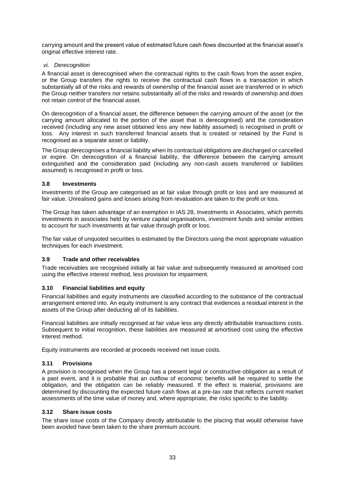carrying amount and the present value of estimated future cash flows discounted at the financial asset's original effective interest rate.

#### *vi. Derecognition*

A financial asset is derecognised when the contractual rights to the cash flows from the asset expire, or the Group transfers the rights to receive the contractual cash flows in a transaction in which substantially all of the risks and rewards of ownership of the financial asset are transferred or in which the Group neither transfers nor retains substantially all of the risks and rewards of ownership and does not retain control of the financial asset.

On derecognition of a financial asset, the difference between the carrying amount of the asset (or the carrying amount allocated to the portion of the asset that is derecognised) and the consideration received (including any new asset obtained less any new liability assumed) is recognised in profit or loss. Any interest in such transferred financial assets that is created or retained by the Fund is recognised as a separate asset or liability.

The Group derecognises a financial liability when its contractual obligations are discharged or cancelled or expire. On derecognition of a financial liability, the difference between the carrying amount extinguished and the consideration paid (including any non-cash assets transferred or liabilities assumed) is recognised in profit or loss.

#### **3.8 Investments**

Investments of the Group are categorised as at fair value through profit or loss and are measured at fair value. Unrealised gains and losses arising from revaluation are taken to the profit or loss.

The Group has taken advantage of an exemption in IAS 28, Investments in Associates, which permits investments in associates held by venture capital organisations, investment funds and similar entities to account for such investments at fair value through profit or loss.

The fair value of unquoted securities is estimated by the Directors using the most appropriate valuation techniques for each investment.

#### **3.9 Trade and other receivables**

Trade receivables are recognised initially at fair value and subsequently measured at amortised cost using the effective interest method, less provision for impairment.

#### **3.10 Financial liabilities and equity**

Financial liabilities and equity instruments are classified according to the substance of the contractual arrangement entered into. An equity instrument is any contract that evidences a residual interest in the assets of the Group after deducting all of its liabilities.

Financial liabilities are initially recognised at fair value less any directly attributable transactions costs. Subsequent to initial recognition, these liabilities are measured at amortised cost using the effective interest method.

Equity instruments are recorded at proceeds received net issue costs.

#### **3.11 Provisions**

A provision is recognised when the Group has a present legal or constructive obligation as a result of a past event, and it is probable that an outflow of economic benefits will be required to settle the obligation, and the obligation can be reliably measured. If the effect is material, provisions are determined by discounting the expected future cash flows at a pre-tax rate that reflects current market assessments of the time value of money and, where appropriate, the risks specific to the liability.

#### **3.12 Share issue costs**

The share issue costs of the Company directly attributable to the placing that would otherwise have been avoided have been taken to the share premium account.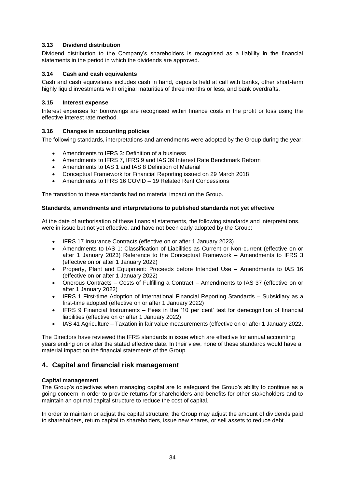#### **3.13 Dividend distribution**

Dividend distribution to the Company's shareholders is recognised as a liability in the financial statements in the period in which the dividends are approved.

#### **3.14 Cash and cash equivalents**

Cash and cash equivalents includes cash in hand, deposits held at call with banks, other short-term highly liquid investments with original maturities of three months or less, and bank overdrafts.

#### **3.15 Interest expense**

Interest expenses for borrowings are recognised within finance costs in the profit or loss using the effective interest rate method.

#### **3.16 Changes in accounting policies**

The following standards, interpretations and amendments were adopted by the Group during the year:

- Amendments to IFRS 3: Definition of a business
- Amendments to IFRS 7, IFRS 9 and IAS 39 Interest Rate Benchmark Reform
- Amendments to IAS 1 and IAS 8 Definition of Material
- Conceptual Framework for Financial Reporting issued on 29 March 2018
- Amendments to IFRS 16 COVID 19 Related Rent Concessions

The transition to these standards had no material impact on the Group.

#### **Standards, amendments and interpretations to published standards not yet effective**

At the date of authorisation of these financial statements, the following standards and interpretations, were in issue but not yet effective, and have not been early adopted by the Group:

- IFRS 17 Insurance Contracts (effective on or after 1 January 2023)
- Amendments to IAS 1: Classification of Liabilities as Current or Non-current (effective on or after 1 January 2023) Reference to the Conceptual Framework – Amendments to IFRS 3 (effective on or after 1 January 2022)
- Property, Plant and Equipment: Proceeds before Intended Use Amendments to IAS 16 (effective on or after 1 January 2022)
- Onerous Contracts Costs of Fulfilling a Contract Amendments to IAS 37 (effective on or after 1 January 2022)
- IFRS 1 First-time Adoption of International Financial Reporting Standards Subsidiary as a first-time adopted (effective on or after 1 January 2022)
- IFRS 9 Financial Instruments Fees in the '10 per cent' test for derecognition of financial liabilities (effective on or after 1 January 2022)
- IAS 41 Agriculture Taxation in fair value measurements (effective on or after 1 January 2022.

The Directors have reviewed the IFRS standards in issue which are effective for annual accounting years ending on or after the stated effective date. In their view, none of these standards would have a material impact on the financial statements of the Group.

#### **4. Capital and financial risk management**

#### **Capital management**

The Group's objectives when managing capital are to safeguard the Group's ability to continue as a going concern in order to provide returns for shareholders and benefits for other stakeholders and to maintain an optimal capital structure to reduce the cost of capital.

In order to maintain or adjust the capital structure, the Group may adjust the amount of dividends paid to shareholders, return capital to shareholders, issue new shares, or sell assets to reduce debt.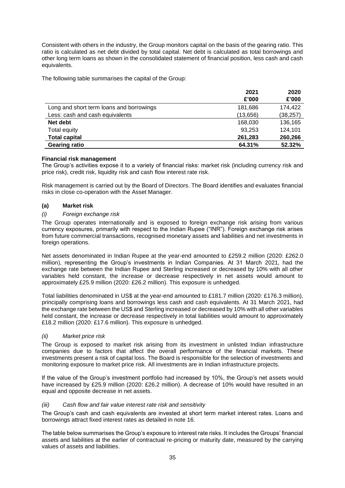Consistent with others in the industry, the Group monitors capital on the basis of the gearing ratio. This ratio is calculated as net debt divided by total capital. Net debt is calculated as total borrowings and other long term loans as shown in the consolidated statement of financial position, less cash and cash equivalents.

The following table summarises the capital of the Group:

|                                          | 2021      | 2020      |
|------------------------------------------|-----------|-----------|
|                                          | £'000     | £'000     |
| Long and short term loans and borrowings | 181,686   | 174,422   |
| Less: cash and cash equivalents          | (13, 656) | (38, 257) |
| Net debt                                 | 168,030   | 136,165   |
| Total equity                             | 93,253    | 124,101   |
| <b>Total capital</b>                     | 261,283   | 260,266   |
| <b>Gearing ratio</b>                     | 64.31%    | 52.32%    |

#### **Financial risk management**

The Group's activities expose it to a variety of financial risks: market risk (including currency risk and price risk), credit risk, liquidity risk and cash flow interest rate risk.

Risk management is carried out by the Board of Directors. The Board identifies and evaluates financial risks in close co-operation with the Asset Manager.

#### **(a) Market risk**

#### *(i) Foreign exchange risk*

The Group operates internationally and is exposed to foreign exchange risk arising from various currency exposures, primarily with respect to the Indian Rupee ("INR"). Foreign exchange risk arises from future commercial transactions, recognised monetary assets and liabilities and net investments in foreign operations.

Net assets denominated in Indian Rupee at the year-end amounted to £259.2 million (2020: £262.0 million), representing the Group's investments in Indian Companies. At 31 March 2021, had the exchange rate between the Indian Rupee and Sterling increased or decreased by 10% with all other variables held constant, the increase or decrease respectively in net assets would amount to approximately £25.9 million (2020: £26.2 million). This exposure is unhedged.

Total liabilities denominated in US\$ at the year-end amounted to £181.7 million (2020: £176.3 million), principally comprising loans and borrowings less cash and cash equivalents. At 31 March 2021, had the exchange rate between the US\$ and Sterling increased or decreased by 10% with all other variables held constant, the increase or decrease respectively in total liabilities would amount to approximately £18.2 million (2020: £17.6 million). This exposure is unhedged.

#### *(ii) Market price risk*

The Group is exposed to market risk arising from its investment in unlisted Indian infrastructure companies due to factors that affect the overall performance of the financial markets. These investments present a risk of capital loss. The Board is responsible for the selection of investments and monitoring exposure to market price risk. All investments are in Indian infrastructure projects.

If the value of the Group's investment portfolio had increased by 10%, the Group's net assets would have increased by £25.9 million (2020: £26.2 million). A decrease of 10% would have resulted in an equal and opposite decrease in net assets.

#### *(iii) Cash flow and fair value interest rate risk and sensitivity*

The Group's cash and cash equivalents are invested at short term market interest rates. Loans and borrowings attract fixed interest rates as detailed in note 16.

The table below summarises the Group's exposure to interest rate risks. It includes the Groups' financial assets and liabilities at the earlier of contractual re-pricing or maturity date, measured by the carrying values of assets and liabilities.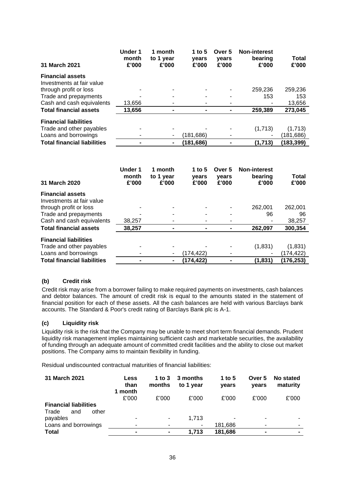| 31 March 2021                      | <b>Under 1</b><br>month<br>£'000 | 1 month<br>to 1 year<br>£'000 | 1 to 5<br>vears<br>£'000 | Over 5<br>vears<br>£'000 | <b>Non-interest</b><br>bearing<br>£'000 | Total<br>£'000 |
|------------------------------------|----------------------------------|-------------------------------|--------------------------|--------------------------|-----------------------------------------|----------------|
| <b>Financial assets</b>            |                                  |                               |                          |                          |                                         |                |
| Investments at fair value          |                                  |                               |                          |                          |                                         |                |
| through profit or loss             |                                  | ۰                             |                          |                          | 259,236                                 | 259,236        |
| Trade and prepayments              |                                  | ۰                             |                          | -                        | 153                                     | 153            |
| Cash and cash equivalents          | 13,656                           |                               |                          |                          | ٠                                       | 13,656         |
| <b>Total financial assets</b>      | 13,656                           |                               |                          |                          | 259,389                                 | 273,045        |
| <b>Financial liabilities</b>       |                                  |                               |                          |                          |                                         |                |
| Trade and other payables           |                                  |                               |                          |                          | (1,713)                                 | (1,713)        |
| Loans and borrowings               |                                  |                               | (181,686)                |                          |                                         | (181,686)      |
| <b>Total financial liabilities</b> |                                  |                               | (181,686)                |                          | (1,713)                                 | (183, 399)     |

| 31 March 2020                      | <b>Under 1</b><br>month<br>£'000 | 1 month<br>to 1 year<br>£'000 | 1 to $5$<br>vears<br>£'000 | Over 5<br>vears<br>£'000 | <b>Non-interest</b><br>bearing<br>£'000 | Total<br>£'000 |
|------------------------------------|----------------------------------|-------------------------------|----------------------------|--------------------------|-----------------------------------------|----------------|
| <b>Financial assets</b>            |                                  |                               |                            |                          |                                         |                |
| Investments at fair value          |                                  |                               |                            |                          |                                         |                |
| through profit or loss             |                                  |                               |                            |                          | 262,001                                 | 262,001        |
| Trade and prepayments              |                                  |                               |                            |                          | 96                                      | 96             |
| Cash and cash equivalents          | 38,257                           |                               |                            |                          |                                         | 38,257         |
| <b>Total financial assets</b>      | 38,257                           |                               |                            |                          | 262,097                                 | 300,354        |
| <b>Financial liabilities</b>       |                                  |                               |                            |                          |                                         |                |
| Trade and other payables           |                                  |                               |                            |                          | (1,831)                                 | (1,831)        |
| Loans and borrowings               |                                  |                               | (174,422)                  |                          |                                         | (174,422)      |
| <b>Total financial liabilities</b> |                                  |                               | (174.422)                  |                          | (1,831)                                 | (176,253)      |

#### **(b) Credit risk**

Credit risk may arise from a borrower failing to make required payments on investments, cash balances and debtor balances. The amount of credit risk is equal to the amounts stated in the statement of financial position for each of these assets. All the cash balances are held with various Barclays bank accounts. The Standard & Poor's credit rating of Barclays Bank plc is A-1.

#### **(c) Liquidity risk**

Liquidity risk is the risk that the Company may be unable to meet short term financial demands. Prudent liquidity risk management implies maintaining sufficient cash and marketable securities, the availability of funding through an adequate amount of committed credit facilities and the ability to close out market positions. The Company aims to maintain flexibility in funding.

Residual undiscounted contractual maturities of financial liabilities:

| 31 March 2021                | <b>Less</b><br>than<br>1 month | 1 to 3<br>months | 3 months<br>to 1 year | 1 to 5<br>vears | Over 5<br>vears | No stated<br>maturity    |
|------------------------------|--------------------------------|------------------|-----------------------|-----------------|-----------------|--------------------------|
|                              | £'000                          | £'000            | £'000                 | £'000           | £'000           | £'000                    |
| <b>Financial liabilities</b> |                                |                  |                       |                 |                 |                          |
| Trade<br>other<br>and        |                                |                  |                       |                 |                 |                          |
| payables                     | $\overline{\phantom{a}}$       | $\blacksquare$   | 1.713                 |                 |                 |                          |
| Loans and borrowings         | $\overline{\phantom{a}}$       |                  | ۰                     | 181.686         |                 | $\overline{\phantom{0}}$ |
| Total                        | $\blacksquare$                 | $\blacksquare$   | 1.713                 | 181,686         | $\blacksquare$  | $\blacksquare$           |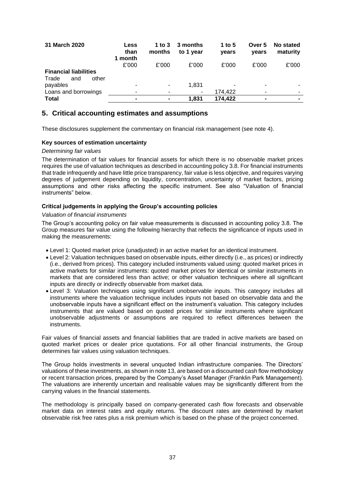| 31 March 2020                                         | <b>Less</b><br>than<br>1 month | 1 to 3<br>months | 3 months<br>to 1 year | 1 to 5<br>vears | Over 5<br>vears | No stated<br>maturity |
|-------------------------------------------------------|--------------------------------|------------------|-----------------------|-----------------|-----------------|-----------------------|
|                                                       | £'000                          | £'000            | £'000                 | £'000           | £'000           | £'000                 |
| <b>Financial liabilities</b><br>Trade<br>other<br>and |                                |                  |                       |                 |                 |                       |
| payables                                              |                                | ٠                | 1.831                 | -               |                 |                       |
| Loans and borrowings                                  | $\overline{\phantom{a}}$       |                  | ۰                     | 174.422         |                 | ۰                     |
| Total                                                 | $\blacksquare$                 | ۰                | 1.831                 | 174,422         | $\blacksquare$  | $\blacksquare$        |

#### **5. Critical accounting estimates and assumptions**

These disclosures supplement the commentary on financial risk management (see note 4).

#### **Key sources of estimation uncertainty**

#### *Determining fair values*

The determination of fair values for financial assets for which there is no observable market prices requires the use of valuation techniques as described in accounting policy 3.8. For financial instruments that trade infrequently and have little price transparency, fair value is less objective, and requires varying degrees of judgement depending on liquidity, concentration, uncertainty of market factors, pricing assumptions and other risks affecting the specific instrument. See also "Valuation of financial instruments" below.

#### **Critical judgements in applying the Group's accounting policies**

#### *Valuation of financial instruments*

The Group's accounting policy on fair value measurements is discussed in accounting policy 3.8. The Group measures fair value using the following hierarchy that reflects the significance of inputs used in making the measurements:

- Level 1: Quoted market price (unadjusted) in an active market for an identical instrument.
- Level 2: Valuation techniques based on observable inputs, either directly (i.e., as prices) or indirectly (i.e., derived from prices). This category included instruments valued using: quoted market prices in active markets for similar instruments: quoted market prices for identical or similar instruments in markets that are considered less than active; or other valuation techniques where all significant inputs are directly or indirectly observable from market data.
- Level 3: Valuation techniques using significant unobservable inputs. This category includes all instruments where the valuation technique includes inputs not based on observable data and the unobservable inputs have a significant effect on the instrument's valuation. This category includes instruments that are valued based on quoted prices for similar instruments where significant unobservable adjustments or assumptions are required to reflect differences between the instruments.

Fair values of financial assets and financial liabilities that are traded in active markets are based on quoted market prices or dealer price quotations. For all other financial instruments, the Group determines fair values using valuation techniques.

The Group holds investments in several unquoted Indian infrastructure companies. The Directors' valuations of these investments, as shown in note 13, are based on a discounted cash flow methodology or recent transaction prices, prepared by the Company's Asset Manager (Franklin Park Management). The valuations are inherently uncertain and realisable values may be significantly different from the carrying values in the financial statements.

The methodology is principally based on company-generated cash flow forecasts and observable market data on interest rates and equity returns. The discount rates are determined by market observable risk free rates plus a risk premium which is based on the phase of the project concerned.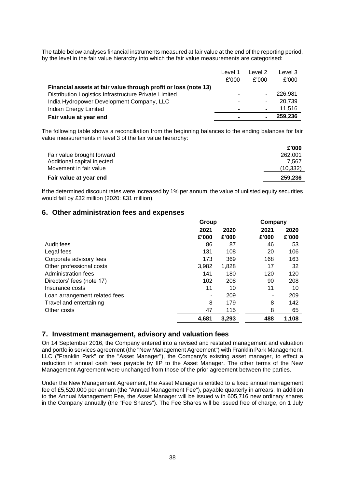The table below analyses financial instruments measured at fair value at the end of the reporting period, by the level in the fair value hierarchy into which the fair value measurements are categorised:

|                                                                 | Level 1        | Level 2        | Level 3 |
|-----------------------------------------------------------------|----------------|----------------|---------|
|                                                                 | £'000          | £'000          | £'000   |
| Financial assets at fair value through profit or loss (note 13) |                |                |         |
| Distribution Logistics Infrastructure Private Limited           | ۰              | $\blacksquare$ | 226.981 |
| India Hydropower Development Company, LLC                       | ۰              | $\blacksquare$ | 20.739  |
| Indian Energy Limited                                           | ۰              | $\blacksquare$ | 11.516  |
| Fair value at year end                                          | $\blacksquare$ | $\blacksquare$ | 259,236 |

The following table shows a reconciliation from the beginning balances to the ending balances for fair value measurements in level 3 of the fair value hierarchy:

|                             | £'000     |
|-----------------------------|-----------|
| Fair value brought forward  | 262,001   |
| Additional capital injected | 7.567     |
| Movement in fair value      | (10, 332) |
| Fair value at year end      | 259.236   |

If the determined discount rates were increased by 1% per annum, the value of unlisted equity securities would fall by £32 million (2020: £31 million).

#### **6. Other administration fees and expenses**

|                               | Group         |               | Company       |               |
|-------------------------------|---------------|---------------|---------------|---------------|
|                               | 2021<br>£'000 | 2020<br>£'000 | 2021<br>£'000 | 2020<br>£'000 |
| Audit fees                    | 86            | 87            | 46            | 53            |
| Legal fees                    | 131           | 108           | 20            | 106           |
| Corporate advisory fees       | 173           | 369           | 168           | 163           |
| Other professional costs      | 3,982         | 1,828         | 17            | 32            |
| Administration fees           | 141           | 180           | 120           | 120           |
| Directors' fees (note 17)     | 102           | 208           | 90            | 208           |
| Insurance costs               | 11            | 10            | 11            | 10            |
| Loan arrangement related fees | ۰             | 209           | ۰             | 209           |
| Travel and entertaining       | 8             | 179           | 8             | 142           |
| Other costs                   | 47            | 115           | 8             | 65            |
|                               | 4,681         | 3,293         | 488           | 1,108         |

#### **7. Investment management, advisory and valuation fees**

On 14 September 2016, the Company entered into a revised and restated management and valuation and portfolio services agreement (the "New Management Agreement") with Franklin Park Management, LLC ("Franklin Park" or the "Asset Manager"), the Company's existing asset manager, to effect a reduction in annual cash fees payable by IIP to the Asset Manager. The other terms of the New Management Agreement were unchanged from those of the prior agreement between the parties.

Under the New Management Agreement, the Asset Manager is entitled to a fixed annual management fee of £5,520,000 per annum (the "Annual Management Fee"), payable quarterly in arrears. In addition to the Annual Management Fee, the Asset Manager will be issued with 605,716 new ordinary shares in the Company annually (the "Fee Shares"). The Fee Shares will be issued free of charge, on 1 July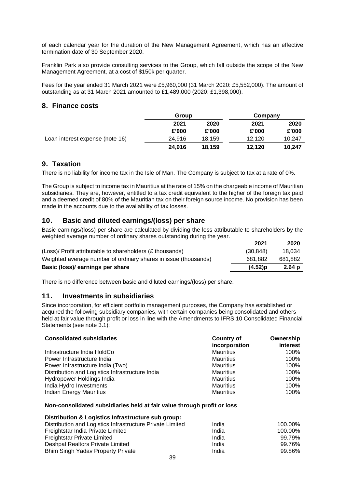of each calendar year for the duration of the New Management Agreement, which has an effective termination date of 30 September 2020.

Franklin Park also provide consulting services to the Group, which fall outside the scope of the New Management Agreement, at a cost of \$150k per quarter.

Fees for the year ended 31 March 2021 were £5,960,000 (31 March 2020: £5,552,000). The amount of outstanding as at 31 March 2021 amounted to £1,489,000 (2020: £1,398,000).

#### **8. Finance costs**

|                                 | Group  |        | Company |        |
|---------------------------------|--------|--------|---------|--------|
|                                 | 2021   | 2020   | 2021    | 2020   |
|                                 | £'000  | £'000  | £'000   | £'000  |
| Loan interest expense (note 16) | 24.916 | 18,159 | 12.120  | 10,247 |
|                                 | 24.916 | 18,159 | 12.120  | 10.247 |

#### **9. Taxation**

There is no liability for income tax in the Isle of Man. The Company is subject to tax at a rate of 0%.

The Group is subject to income tax in Mauritius at the rate of 15% on the chargeable income of Mauritian subsidiaries. They are, however, entitled to a tax credit equivalent to the higher of the foreign tax paid and a deemed credit of 80% of the Mauritian tax on their foreign source income. No provision has been made in the accounts due to the availability of tax losses.

#### **10. Basic and diluted earnings/(loss) per share**

Basic earnings/(loss) per share are calculated by dividing the loss attributable to shareholders by the weighted average number of ordinary shares outstanding during the year.

| 2021       | 2020              |
|------------|-------------------|
| (30.848)   | 18.034            |
| 681.882    | 681.882           |
| $(4.52)$ p | 2.64 <sub>p</sub> |
|            |                   |

There is no difference between basic and diluted earnings/(loss) per share.

#### **11. Investments in subsidiaries**

Since incorporation, for efficient portfolio management purposes, the Company has established or acquired the following subsidiary companies, with certain companies being consolidated and others held at fair value through profit or loss in line with the Amendments to IFRS 10 Consolidated Financial Statements (see note 3.1):

| <b>Consolidated subsidiaries</b>                | <b>Country of</b><br>incorporation | Ownership<br>interest |
|-------------------------------------------------|------------------------------------|-----------------------|
| Infrastructure India HoldCo                     | <b>Mauritius</b>                   | 100%                  |
| Power Infrastructure India                      | <b>Mauritius</b>                   | 100%                  |
| Power Infrastructure India (Two)                | <b>Mauritius</b>                   | 100%                  |
| Distribution and Logistics Infrastructure India | <b>Mauritius</b>                   | 100%                  |
| Hydropower Holdings India                       | <b>Mauritius</b>                   | 100%                  |
| India Hydro Investments                         | <b>Mauritius</b>                   | 100%                  |
| <b>Indian Energy Mauritius</b>                  | <b>Mauritius</b>                   | 100%                  |

#### **Non-consolidated subsidiaries held at fair value through profit or loss**

#### **Distribution & Logistics Infrastructure sub group:**

| Distribution and Logistics Infrastructure Private Limited | India | 100.00%   |
|-----------------------------------------------------------|-------|-----------|
| Freightstar India Private Limited                         | India | 100.00%   |
| Freightstar Private Limited                               | India | 99.79%    |
| Deshpal Realtors Private Limited                          | India | $99.76\%$ |
| <b>Bhim Singh Yadav Property Private</b>                  | India | 99.86%    |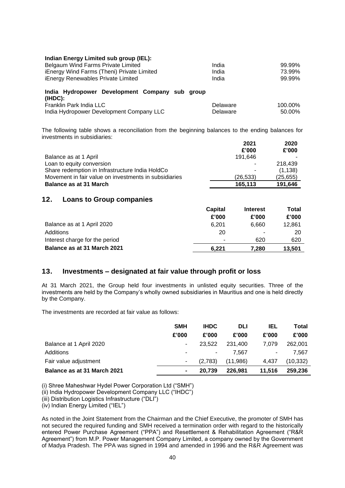| Indian Energy Limited sub group (IEL):         |          |         |
|------------------------------------------------|----------|---------|
| Belgaum Wind Farms Private Limited             | India    | 99.99%  |
| iEnergy Wind Farms (Theni) Private Limited     | India    | 73.99%  |
| iEnergy Renewables Private Limited             | India    | 99.99%  |
|                                                |          |         |
| India Hydropower Development Company sub group |          |         |
|                                                |          |         |
| (IHDC):                                        |          |         |
| <b>Franklin Park India LLC</b>                 | Delaware | 100.00% |

The following table shows a reconciliation from the beginning balances to the ending balances for investments in subsidiaries:

|                                                       | 2021      | 2020      |
|-------------------------------------------------------|-----------|-----------|
|                                                       | £'000     | £'000     |
| Balance as at 1 April                                 | 191.646   |           |
| Loan to equity conversion                             |           | 218.439   |
| Share redemption in Infrastructure India HoldCo       | ۰         | (1, 138)  |
| Movement in fair value on investments in subsidiaries | (26, 533) | (25, 655) |
| <b>Balance as at 31 March</b>                         | 165.113   | 191.646   |

#### **12. Loans to Group companies**

|                                | <b>Capital</b>           | <b>Interest</b> | Total  |
|--------------------------------|--------------------------|-----------------|--------|
|                                | £'000                    | £'000           | £'000  |
| Balance as at 1 April 2020     | 6.201                    | 6.660           | 12,861 |
| Additions                      | 20                       |                 | 20     |
| Interest charge for the period | $\overline{\phantom{a}}$ | 620             | 620    |
| Balance as at 31 March 2021    | 6.221                    | 7.280           | 13.501 |

#### **13. Investments – designated at fair value through profit or loss**

At 31 March 2021, the Group held four investments in unlisted equity securities. Three of the investments are held by the Company's wholly owned subsidiaries in Mauritius and one is held directly by the Company.

The investments are recorded at fair value as follows:

|                             | <b>SMH</b> | <b>IHDC</b> | <b>DLI</b> | IEL    | Total     |
|-----------------------------|------------|-------------|------------|--------|-----------|
|                             | £'000      | £'000       | £'000      | £'000  | £'000     |
| Balance at 1 April 2020     |            | 23.522      | 231.400    | 7.079  | 262,001   |
| Additions                   |            | $\sim$      | 7.567      |        | 7.567     |
| Fair value adjustment       |            | (2.783)     | (11,986)   | 4,437  | (10, 332) |
| Balance as at 31 March 2021 |            | 20.739      | 226,981    | 11.516 | 259,236   |

(i) Shree Maheshwar Hydel Power Corporation Ltd ("SMH")

(ii) India Hydropower Development Company LLC ("IHDC")

(iii) Distribution Logistics Infrastructure ("DLI")

(iv) Indian Energy Limited ("IEL")

As noted in the Joint Statement from the Chairman and the Chief Executive, the promoter of SMH has not secured the required funding and SMH received a termination order with regard to the historically entered Power Purchase Agreement ("PPA") and Resettlement & Rehabilitation Agreement ("R&R Agreement") from M.P. Power Management Company Limited, a company owned by the Government of Madya Pradesh. The PPA was signed in 1994 and amended in 1996 and the R&R Agreement was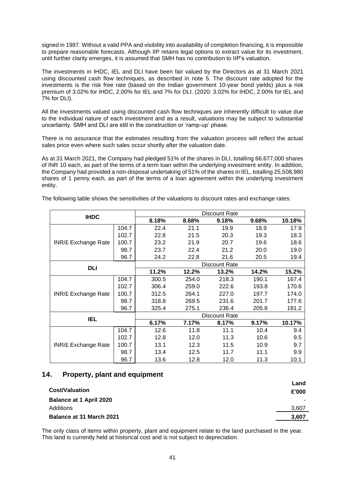signed in 1997. Without a valid PPA and visibility into availability of completion financing, it is impossible to prepare reasonable forecasts. Although IIP retains legal options to extract value for its investment, until further clarity emerges, it is assumed that SMH has no contribution to IIP's valuation.

The investments in IHDC, IEL and DLI have been fair valued by the Directors as at 31 March 2021 using discounted cash flow techniques, as described in note 5. The discount rate adopted for the investments is the risk free rate (based on the Indian government 10-year bond yields) plus a risk premium of 3.02% for IHDC, 2.00% for IEL and 7% for DLI. (2020: 3.02% for IHDC, 2.00% for IEL and 7% for DLI).

All the investments valued using discounted cash flow techniques are inherently difficult to value due to the individual nature of each investment and as a result, valuations may be subject to substantial uncertainty. SMH and DLI are still in the construction or 'ramp-up' phase.

There is no assurance that the estimates resulting from the valuation process will reflect the actual sales price even where such sales occur shortly after the valuation date.

As at 31 March 2021, the Company had pledged 51% of the shares in DLI, totalling 66,677,000 shares of INR 10 each, as part of the terms of a term loan within the underlying investment entity. In addition, the Company had provided a non-disposal undertaking of 51% of the shares in IEL, totalling 25,508,980 shares of 1 penny each, as part of the terms of a loan agreement within the underlying investment entity.

The following table shows the sensitivities of the valuations to discount rates and exchange rates:

| <b>IHDC</b>                |       | <b>Discount Rate</b> |       |                      |       |        |
|----------------------------|-------|----------------------|-------|----------------------|-------|--------|
|                            |       | 8.18%                | 8.68% | 9.18%                | 9.68% | 10.18% |
|                            | 104.7 | 22.4                 | 21.1  | 19.9                 | 18.9  | 17.9   |
|                            | 102.7 | 22.8                 | 21.5  | 20.3                 | 19.3  | 18.3   |
| <b>INR/£ Exchange Rate</b> | 100.7 | 23.2                 | 21.9  | 20.7                 | 19.6  | 18.6   |
|                            | 98.7  | 23.7                 | 22.4  | 21.2                 | 20.0  | 19.0   |
|                            | 96.7  | 24.2                 | 22.8  | 21.6                 | 20.5  | 19.4   |
|                            |       |                      |       | <b>Discount Rate</b> |       |        |
| <b>DLI</b>                 |       | 11.2%                | 12.2% | 13.2%                | 14.2% | 15.2%  |
|                            | 104.7 | 300.5                | 254.0 | 218.3                | 190.1 | 167.4  |
|                            | 102.7 | 306.4                | 259.0 | 222.6                | 193.8 | 170.6  |
| <b>INR/£ Exchange Rate</b> | 100.7 | 312.5                | 264.1 | 227.0                | 197.7 | 174.0  |
|                            | 98.7  | 318.8                | 269.5 | 231.6                | 201.7 | 177.6  |
|                            | 96.7  | 325.4                | 275.1 | 236.4                | 205.8 | 181.2  |
| IEL                        |       |                      |       | <b>Discount Rate</b> |       |        |
|                            |       | 6.17%                | 7.17% | 8.17%                | 9.17% | 10.17% |
|                            | 104.7 | 12.6                 | 11.8  | 11.1                 | 10.4  | 9.4    |
|                            | 102.7 | 12.8                 | 12.0  | 11.3                 | 10.6  | 9.5    |
| <b>INR/£ Exchange Rate</b> | 100.7 | 13.1                 | 12.3  | 11.5                 | 10.9  | 9.7    |
|                            | 98.7  | 13.4                 | 12.5  | 11.7                 | 11.1  | 9.9    |
|                            | 96.7  | 13.6                 | 12.8  | 12.0                 | 11.3  | 10.1   |

#### **14. Property, plant and equipment**

| <b>Cost/Valuation</b>           | Land<br>£'000 |
|---------------------------------|---------------|
| <b>Balance at 1 April 2020</b>  |               |
| Additions                       | 3.607         |
| <b>Balance at 31 March 2021</b> | 3.607         |
|                                 |               |

The only class of items within property, plant and equipment relate to the land purchased in the year. This land is currently held at historical cost and is not subject to depreciation.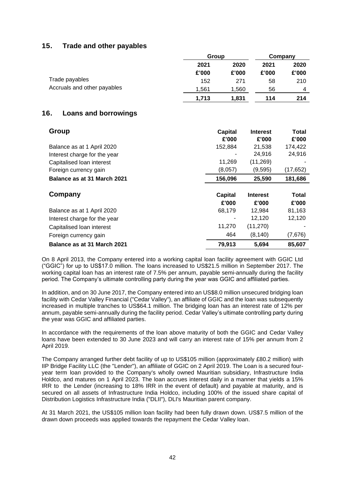#### **15. Trade and other payables**

|                             | Group |       | Company |       |
|-----------------------------|-------|-------|---------|-------|
|                             | 2021  | 2020  | 2021    | 2020  |
|                             | £'000 | £'000 | £'000   | £'000 |
| Trade payables              | 152   | 271   | 58      | 210   |
| Accruals and other payables | 1,561 | 1,560 | 56      | 4     |
|                             | 1.713 | 1.831 | 114     | 214   |

#### **16. Loans and borrowings**

| Group                        | <b>Capital</b> | <b>Interest</b> | Total     |
|------------------------------|----------------|-----------------|-----------|
|                              | £'000          | £'000           | £'000     |
| Balance as at 1 April 2020   | 152,884        | 21,538          | 174,422   |
| Interest charge for the year |                | 24,916          | 24,916    |
| Capitalised loan interest    | 11,269         | (11,269)        |           |
| Foreign currency gain        | (8,057)        | (9,595)         | (17, 652) |
| Balance as at 31 March 2021  | 156,096        | 25,590          | 181,686   |
|                              |                |                 |           |
| Company                      | Capital        | <b>Interest</b> | Total     |
|                              | £'000          | £'000           | £'000     |
| Balance as at 1 April 2020   | 68,179         | 12,984          | 81,163    |
| Interest charge for the year |                | 12,120          | 12,120    |
| Capitalised loan interest    | 11,270         | (11, 270)       |           |
| Foreign currency gain        | 464            | (8, 140)        | (7,676)   |
| Balance as at 31 March 2021  | 79,913         | 5,694           | 85,607    |

On 8 April 2013, the Company entered into a working capital loan facility agreement with GGIC Ltd ("GGIC") for up to US\$17.0 million. The loans increased to US\$21.5 million in September 2017. The working capital loan has an interest rate of 7.5% per annum, payable semi-annually during the facility period. The Company's ultimate controlling party during the year was GGIC and affiliated parties.

In addition, and on 30 June 2017, the Company entered into an US\$8.0 million unsecured bridging loan facility with Cedar Valley Financial ("Cedar Valley"), an affiliate of GGIC and the loan was subsequently increased in multiple tranches to US\$64.1 million. The bridging loan has an interest rate of 12% per annum, payable semi-annually during the facility period. Cedar Valley's ultimate controlling party during the year was GGIC and affiliated parties.

In accordance with the requirements of the loan above maturity of both the GGIC and Cedar Valley loans have been extended to 30 June 2023 and will carry an interest rate of 15% per annum from 2 April 2019.

The Company arranged further debt facility of up to US\$105 million (approximately £80.2 million) with IIP Bridge Facility LLC (the "Lender"), an affiliate of GGIC on 2 April 2019. The Loan is a secured fouryear term loan provided to the Company's wholly owned Mauritian subsidiary, Infrastructure India Holdco, and matures on 1 April 2023. The loan accrues interest daily in a manner that yields a 15% IRR to the Lender (increasing to 18% IRR in the event of default) and payable at maturity, and is secured on all assets of Infrastructure India Holdco, including 100% of the issued share capital of Distribution Logistics Infrastructure India ("DLII"), DLI's Mauritian parent company.

At 31 March 2021, the US\$105 million loan facility had been fully drawn down. US\$7.5 million of the drawn down proceeds was applied towards the repayment the Cedar Valley loan.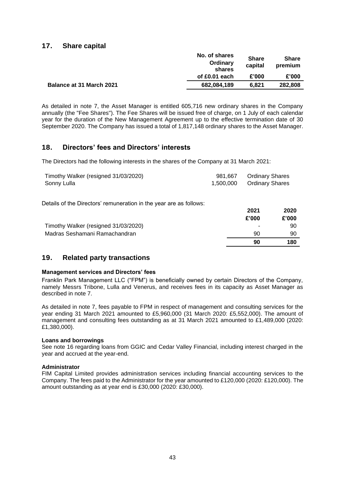#### **17. Share capital**

|                                 | No. of shares<br>Ordinary<br>shares | <b>Share</b><br>capital | <b>Share</b><br>premium |
|---------------------------------|-------------------------------------|-------------------------|-------------------------|
|                                 | of $£0.01$ each                     | £'000                   | £'000                   |
| <b>Balance at 31 March 2021</b> | 682.084.189                         | 6.821                   | 282.808                 |

As detailed in note 7, the Asset Manager is entitled 605,716 new ordinary shares in the Company annually (the "Fee Shares"). The Fee Shares will be issued free of charge, on 1 July of each calendar year for the duration of the New Management Agreement up to the effective termination date of 30 September 2020. The Company has issued a total of 1,817,148 ordinary shares to the Asset Manager.

#### **18. Directors' fees and Directors' interests**

The Directors had the following interests in the shares of the Company at 31 March 2021:

| Timothy Walker (resigned 31/03/2020) | 981.667   | <b>Ordinary Shares</b> |
|--------------------------------------|-----------|------------------------|
| Sonny Lulla                          | 1.500.000 | Ordinary Shares        |

Details of the Directors' remuneration in the year are as follows:

|                                      | 2021  | 2020  |
|--------------------------------------|-------|-------|
|                                      | £'000 | £'000 |
| Timothy Walker (resigned 31/03/2020) |       | 90    |
| Madras Seshamani Ramachandran        | 90    | 90    |
|                                      | 90    | 180   |

#### **19. Related party transactions**

#### **Management services and Directors' fees**

Franklin Park Management LLC ("FPM") is beneficially owned by certain Directors of the Company, namely Messrs Tribone, Lulla and Venerus, and receives fees in its capacity as Asset Manager as described in note 7.

As detailed in note 7, fees payable to FPM in respect of management and consulting services for the year ending 31 March 2021 amounted to £5,960,000 (31 March 2020: £5,552,000). The amount of management and consulting fees outstanding as at 31 March 2021 amounted to £1,489,000 (2020: £1,380,000).

#### **Loans and borrowings**

See note 16 regarding loans from GGIC and Cedar Valley Financial, including interest charged in the year and accrued at the year-end.

#### **Administrator**

FIM Capital Limited provides administration services including financial accounting services to the Company. The fees paid to the Administrator for the year amounted to £120,000 (2020: £120,000). The amount outstanding as at year end is £30,000 (2020: £30,000).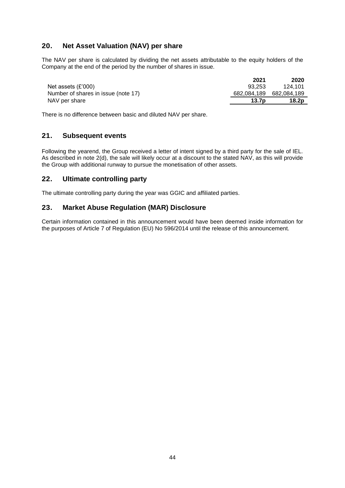#### **20. Net Asset Valuation (NAV) per share**

The NAV per share is calculated by dividing the net assets attributable to the equity holders of the Company at the end of the period by the number of shares in issue.

|                                     | 2021        | 2020        |
|-------------------------------------|-------------|-------------|
| Net assets (£'000)                  | 93.253      | 124.101     |
| Number of shares in issue (note 17) | 682.084.189 | 682.084.189 |
| NAV per share                       | 13.7p       | 18.2p       |

There is no difference between basic and diluted NAV per share.

#### **21. Subsequent events**

Following the yearend, the Group received a letter of intent signed by a third party for the sale of IEL. As described in note 2(d), the sale will likely occur at a discount to the stated NAV, as this will provide the Group with additional runway to pursue the monetisation of other assets.

#### **22. Ultimate controlling party**

The ultimate controlling party during the year was GGIC and affiliated parties.

#### **23. Market Abuse Regulation (MAR) Disclosure**

Certain information contained in this announcement would have been deemed inside information for the purposes of Article 7 of Regulation (EU) No 596/2014 until the release of this announcement.